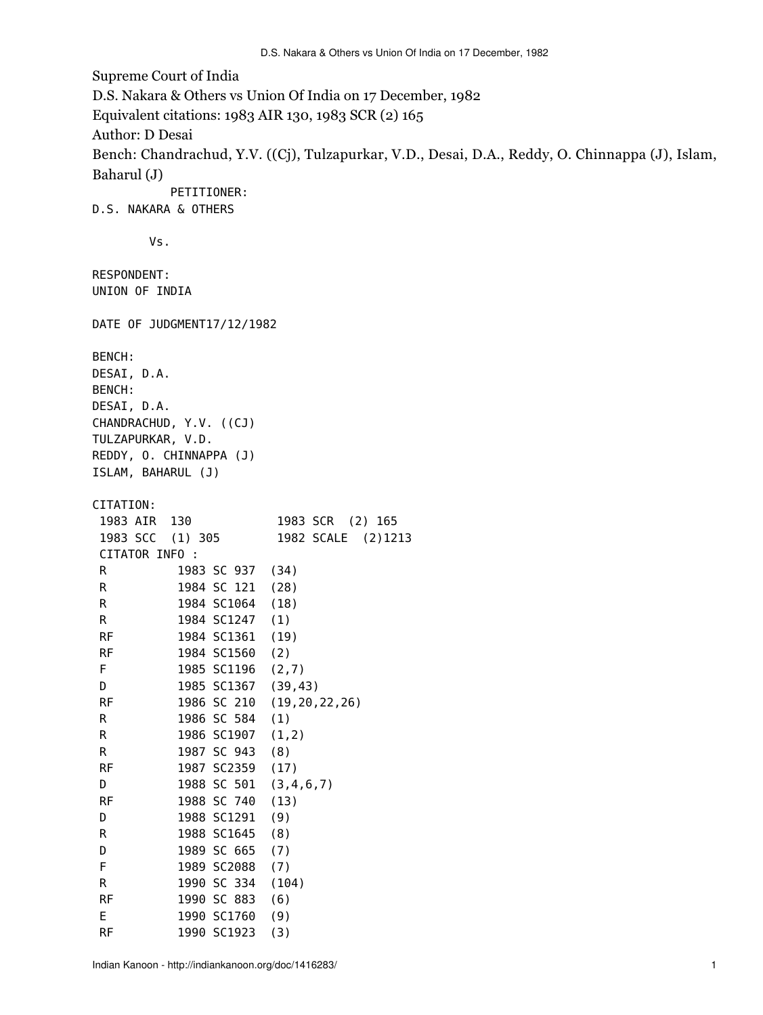Supreme Court of India D.S. Nakara & Others vs Union Of India on 17 December, 1982 Equivalent citations: 1983 AIR 130, 1983 SCR (2) 165 Author: D Desai Bench: Chandrachud, Y.V. ((Cj), Tulzapurkar, V.D., Desai, D.A., Reddy, O. Chinnappa (J), Islam, Baharul (J) PETITIONER: D.S. NAKARA & OTHERS Vs. RESPONDENT: UNION OF INDIA DATE OF JUDGMENT17/12/1982 BENCH: DESAI, D.A. BENCH: DESAI, D.A. CHANDRACHUD, Y.V. ((CJ) TULZAPURKAR, V.D. REDDY, O. CHINNAPPA (J) ISLAM, BAHARUL (J) CITATION: 1983 AIR 130 1983 SCR (2) 165 1983 SCC (1) 305 1982 SCALE (2)1213 CITATOR INFO : R 1983 SC 937 (34) R 1984 SC 121 (28) R 1984 SC1064 (18) R 1984 SC1247 (1) RF 1984 SC1361 (19) RF 1984 SC1560 (2) F 1985 SC1196 (2,7) D 1985 SC1367 (39,43) RF 1986 SC 210 (19,20,22,26) R 1986 SC 584 (1) R 1986 SC1907 (1,2) R 1987 SC 943 (8) RF 1987 SC2359 (17) D 1988 SC 501 (3,4,6,7) RF 1988 SC 740 (13) D 1988 SC1291 (9) R 1988 SC1645 (8) D 1989 SC 665 (7) F 1989 SC2088 (7) R 1990 SC 334 (104) RF 1990 SC 883 (6) E 1990 SC1760 (9)

RF 1990 SC1923 (3)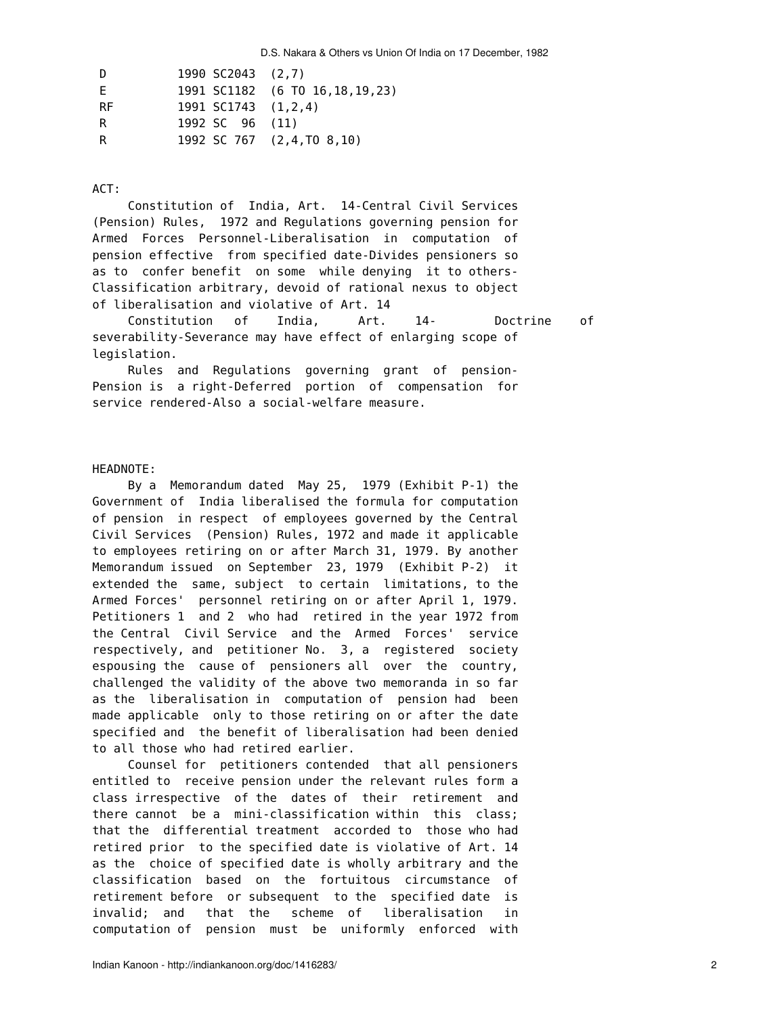| - D | 1990 SC2043 (2,7)   |                                   |
|-----|---------------------|-----------------------------------|
| F.  |                     | 1991 SC1182 (6 TO 16, 18, 19, 23) |
| -RF | 1991 SC1743 (1.2.4) |                                   |
| R   | 1992 SC 96 (11)     |                                   |
| -R  |                     | 1992 SC 767 (2,4, TO 8, 10)       |

## ACT:

 Constitution of India, Art. 14-Central Civil Services (Pension) Rules, 1972 and Regulations governing pension for Armed Forces Personnel-Liberalisation in computation of pension effective from specified date-Divides pensioners so as to confer benefit on some while denying it to others-Classification arbitrary, devoid of rational nexus to object of liberalisation and violative of Art. 14

 Constitution of India, Art. 14- Doctrine of severability-Severance may have effect of enlarging scope of legislation.

 Rules and Regulations governing grant of pension-Pension is a right-Deferred portion of compensation for service rendered-Also a social-welfare measure.

## HEADNOTE:

 By a Memorandum dated May 25, 1979 (Exhibit P-1) the Government of India liberalised the formula for computation of pension in respect of employees governed by the Central Civil Services (Pension) Rules, 1972 and made it applicable to employees retiring on or after March 31, 1979. By another Memorandum issued on September 23, 1979 (Exhibit P-2) it extended the same, subject to certain limitations, to the Armed Forces' personnel retiring on or after April 1, 1979. Petitioners 1 and 2 who had retired in the year 1972 from the Central Civil Service and the Armed Forces' service respectively, and petitioner No. 3, a registered society espousing the cause of pensioners all over the country, challenged the validity of the above two memoranda in so far as the liberalisation in computation of pension had been made applicable only to those retiring on or after the date specified and the benefit of liberalisation had been denied to all those who had retired earlier.

 Counsel for petitioners contended that all pensioners entitled to receive pension under the relevant rules form a class irrespective of the dates of their retirement and there cannot be a mini-classification within this class; that the differential treatment accorded to those who had retired prior to the specified date is violative of Art. 14 as the choice of specified date is wholly arbitrary and the classification based on the fortuitous circumstance of retirement before or subsequent to the specified date is invalid; and that the scheme of liberalisation in computation of pension must be uniformly enforced with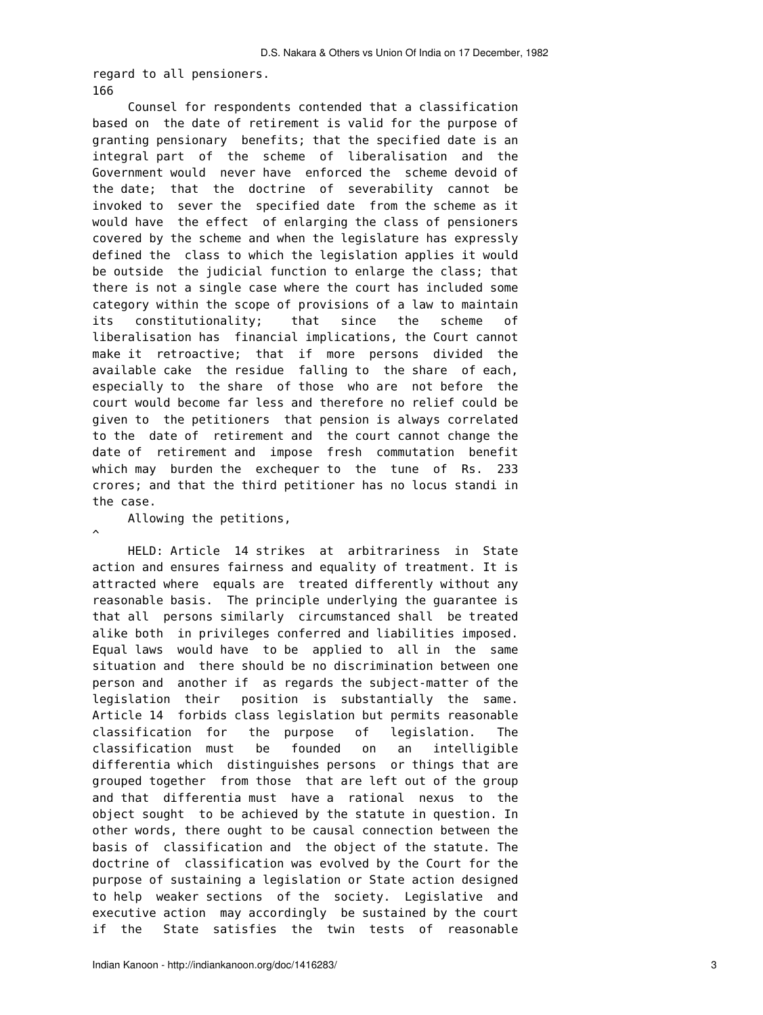regard to all pensioners. 166

 Counsel for respondents contended that a classification based on the date of retirement is valid for the purpose of granting pensionary benefits; that the specified date is an integral part of the scheme of liberalisation and the Government would never have enforced the scheme devoid of the date; that the doctrine of severability cannot be invoked to sever the specified date from the scheme as it would have the effect of enlarging the class of pensioners covered by the scheme and when the legislature has expressly defined the class to which the legislation applies it would be outside the judicial function to enlarge the class; that there is not a single case where the court has included some category within the scope of provisions of a law to maintain its constitutionality; that since the scheme of liberalisation has financial implications, the Court cannot make it retroactive; that if more persons divided the available cake the residue falling to the share of each, especially to the share of those who are not before the court would become far less and therefore no relief could be given to the petitioners that pension is always correlated to the date of retirement and the court cannot change the date of retirement and impose fresh commutation benefit which may burden the exchequer to the tune of Rs. 233 crores; and that the third petitioner has no locus standi in the case.

Allowing the petitions,

 $\hat{\phantom{a}}$ 

 HELD: Article 14 strikes at arbitrariness in State action and ensures fairness and equality of treatment. It is attracted where equals are treated differently without any reasonable basis. The principle underlying the guarantee is that all persons similarly circumstanced shall be treated alike both in privileges conferred and liabilities imposed. Equal laws would have to be applied to all in the same situation and there should be no discrimination between one person and another if as regards the subject-matter of the legislation their position is substantially the same. Article 14 forbids class legislation but permits reasonable classification for the purpose of legislation. The classification must be founded on an intelligible differentia which distinguishes persons or things that are grouped together from those that are left out of the group and that differentia must have a rational nexus to the object sought to be achieved by the statute in question. In other words, there ought to be causal connection between the basis of classification and the object of the statute. The doctrine of classification was evolved by the Court for the purpose of sustaining a legislation or State action designed to help weaker sections of the society. Legislative and executive action may accordingly be sustained by the court if the State satisfies the twin tests of reasonable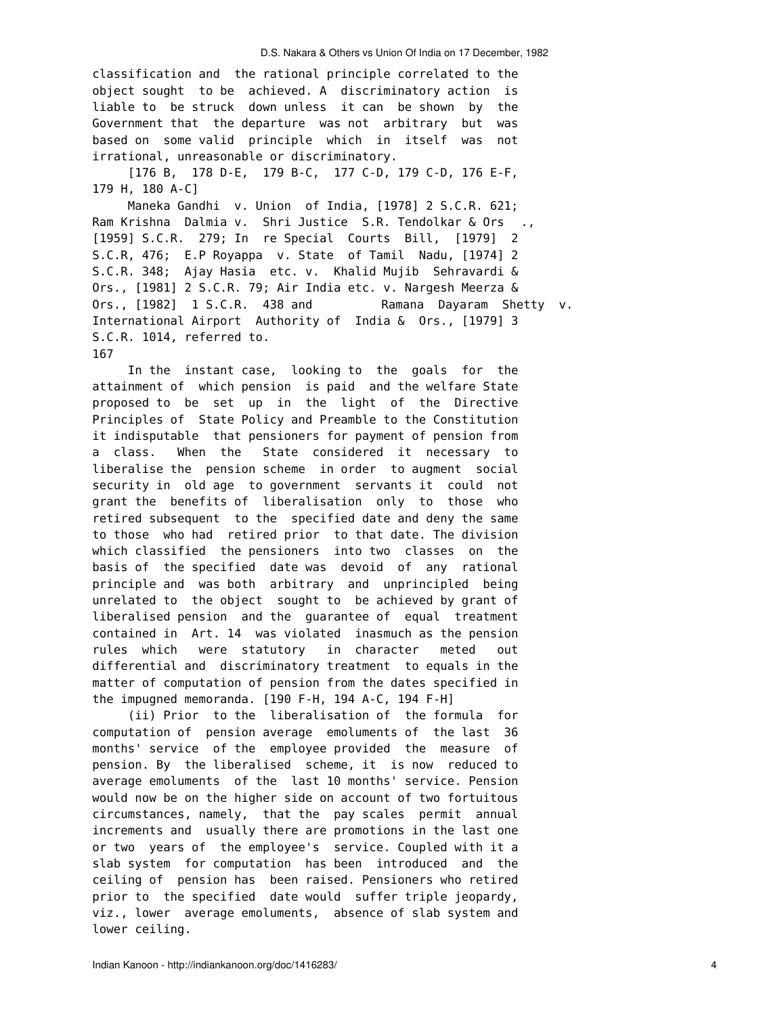classification and the rational principle correlated to the object sought to be achieved. A discriminatory action is liable to be struck down unless it can be shown by the Government that the departure was not arbitrary but was based on some valid principle which in itself was not irrational, unreasonable or discriminatory.

 [176 B, 178 D-E, 179 B-C, 177 C-D, 179 C-D, 176 E-F, 179 H, 180 A-C]

 Maneka Gandhi v. Union of India, [1978] 2 S.C.R. 621; Ram Krishna Dalmia v. Shri Justice S.R. Tendolkar & Ors ., [1959] S.C.R. 279; In re Special Courts Bill, [1979] 2 S.C.R, 476; E.P Royappa v. State of Tamil Nadu, [1974] 2 S.C.R. 348; Ajay Hasia etc. v. Khalid Mujib Sehravardi & Ors., [1981] 2 S.C.R. 79; Air India etc. v. Nargesh Meerza & Ors., [1982] 1 S.C.R. 438 and Ramana Dayaram Shetty v. International Airport Authority of India & Ors., [1979] 3 S.C.R. 1014, referred to. 167

 In the instant case, looking to the goals for the attainment of which pension is paid and the welfare State proposed to be set up in the light of the Directive Principles of State Policy and Preamble to the Constitution it indisputable that pensioners for payment of pension from a class. When the State considered it necessary to liberalise the pension scheme in order to augment social security in old age to government servants it could not grant the benefits of liberalisation only to those who retired subsequent to the specified date and deny the same to those who had retired prior to that date. The division which classified the pensioners into two classes on the basis of the specified date was devoid of any rational principle and was both arbitrary and unprincipled being unrelated to the object sought to be achieved by grant of liberalised pension and the guarantee of equal treatment contained in Art. 14 was violated inasmuch as the pension rules which were statutory in character meted out differential and discriminatory treatment to equals in the matter of computation of pension from the dates specified in the impugned memoranda. [190 F-H, 194 A-C, 194 F-H]

 (ii) Prior to the liberalisation of the formula for computation of pension average emoluments of the last 36 months' service of the employee provided the measure of pension. By the liberalised scheme, it is now reduced to average emoluments of the last 10 months' service. Pension would now be on the higher side on account of two fortuitous circumstances, namely, that the pay scales permit annual increments and usually there are promotions in the last one or two years of the employee's service. Coupled with it a slab system for computation has been introduced and the ceiling of pension has been raised. Pensioners who retired prior to the specified date would suffer triple jeopardy, viz., lower average emoluments, absence of slab system and lower ceiling.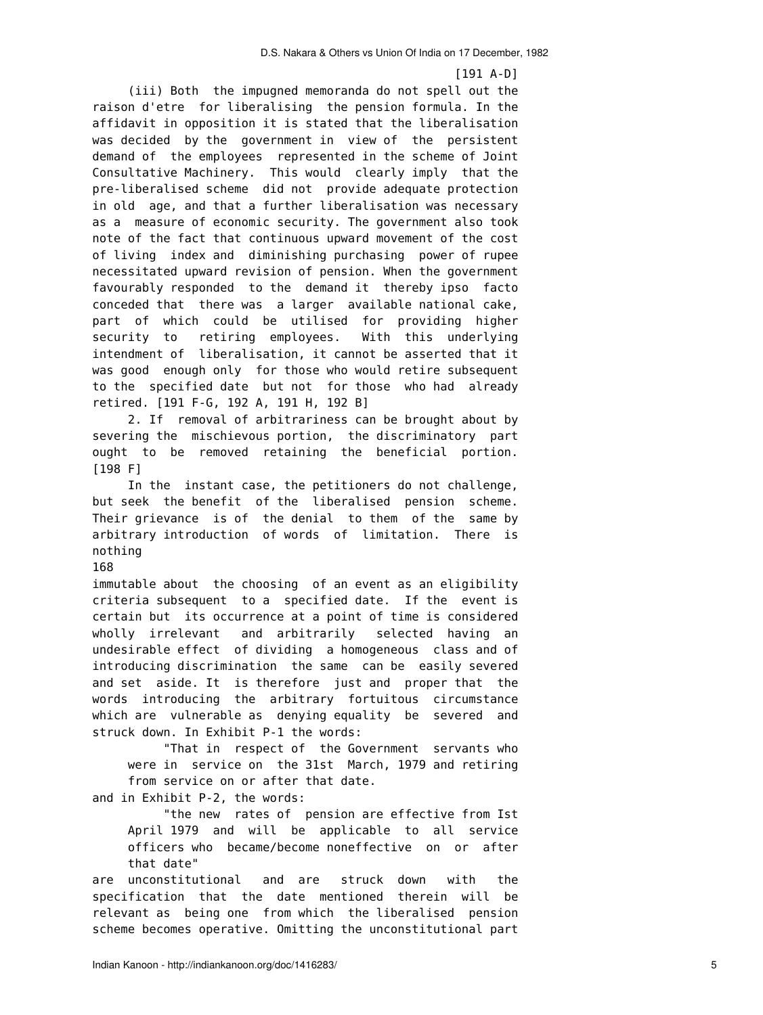[191 A-D]

 (iii) Both the impugned memoranda do not spell out the raison d'etre for liberalising the pension formula. In the affidavit in opposition it is stated that the liberalisation was decided by the government in view of the persistent demand of the employees represented in the scheme of Joint Consultative Machinery. This would clearly imply that the pre-liberalised scheme did not provide adequate protection in old age, and that a further liberalisation was necessary as a measure of economic security. The government also took note of the fact that continuous upward movement of the cost of living index and diminishing purchasing power of rupee necessitated upward revision of pension. When the government favourably responded to the demand it thereby ipso facto conceded that there was a larger available national cake, part of which could be utilised for providing higher security to retiring employees. With this underlying intendment of liberalisation, it cannot be asserted that it was good enough only for those who would retire subsequent to the specified date but not for those who had already retired. [191 F-G, 192 A, 191 H, 192 B]

 2. If removal of arbitrariness can be brought about by severing the mischievous portion, the discriminatory part ought to be removed retaining the beneficial portion. [198 F]

 In the instant case, the petitioners do not challenge, but seek the benefit of the liberalised pension scheme. Their grievance is of the denial to them of the same by arbitrary introduction of words of limitation. There is nothing

## 168

immutable about the choosing of an event as an eligibility criteria subsequent to a specified date. If the event is certain but its occurrence at a point of time is considered wholly irrelevant and arbitrarily selected having an undesirable effect of dividing a homogeneous class and of introducing discrimination the same can be easily severed and set aside. It is therefore just and proper that the words introducing the arbitrary fortuitous circumstance which are vulnerable as denying equality be severed and struck down. In Exhibit P-1 the words:

 "That in respect of the Government servants who were in service on the 31st March, 1979 and retiring from service on or after that date.

and in Exhibit P-2, the words:

 "the new rates of pension are effective from Ist April 1979 and will be applicable to all service officers who became/become noneffective on or after that date"

are unconstitutional and are struck down with the specification that the date mentioned therein will be relevant as being one from which the liberalised pension scheme becomes operative. Omitting the unconstitutional part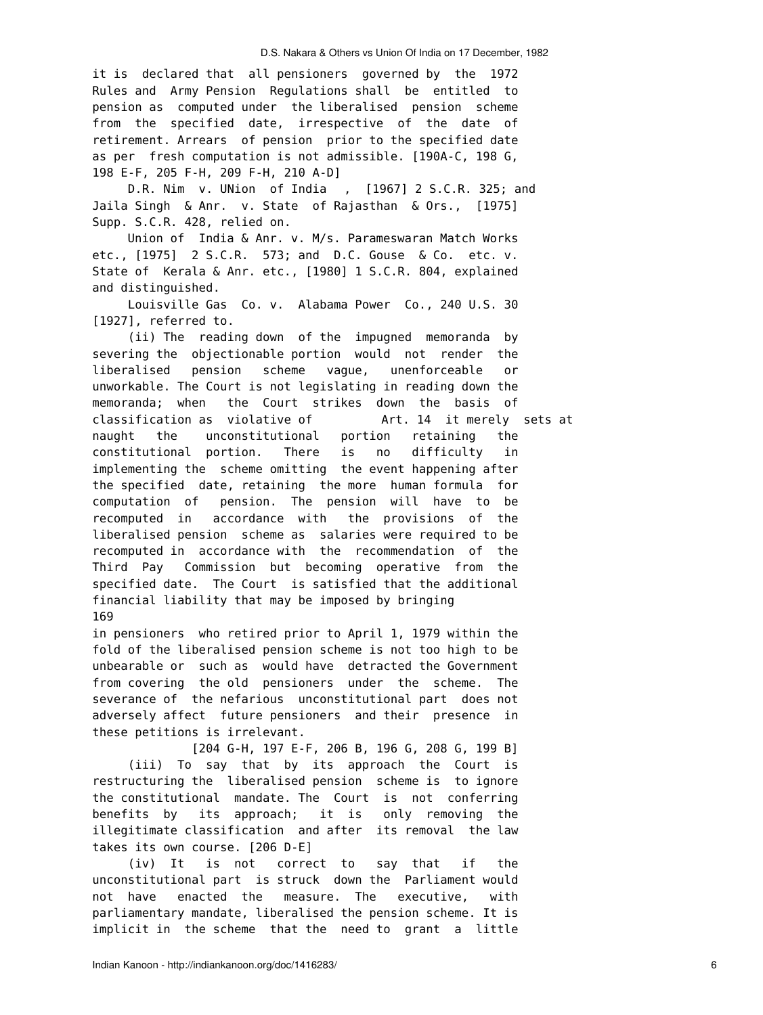it is declared that all pensioners governed by the 1972 Rules and Army Pension Regulations shall be entitled to pension as computed under the liberalised pension scheme from the specified date, irrespective of the date of retirement. Arrears of pension prior to the specified date as per fresh computation is not admissible. [190A-C, 198 G, 198 E-F, 205 F-H, 209 F-H, 210 A-D]

 D.R. Nim v. UNion of India , [1967] 2 S.C.R. 325; and Jaila Singh & Anr. v. State of Rajasthan & Ors., [1975] Supp. S.C.R. 428, relied on.

Union of India & Anr. v. M/s. Parameswaran Match Works etc., [1975] 2 S.C.R. 573; and D.C. Gouse & Co. etc. v. State of Kerala & Anr. etc., [1980] 1 S.C.R. 804, explained and distinguished.

 Louisville Gas Co. v. Alabama Power Co., 240 U.S. 30 [1927], referred to.

 (ii) The reading down of the impugned memoranda by severing the objectionable portion would not render the liberalised pension scheme vague, unenforceable or unworkable. The Court is not legislating in reading down the memoranda; when the Court strikes down the basis of classification as violative of Art. 14 it merely sets at naught the unconstitutional portion retaining the constitutional portion. There is no difficulty in implementing the scheme omitting the event happening after the specified date, retaining the more human formula for computation of pension. The pension will have to be recomputed in accordance with the provisions of the liberalised pension scheme as salaries were required to be recomputed in accordance with the recommendation of the Third Pay Commission but becoming operative from the specified date. The Court is satisfied that the additional financial liability that may be imposed by bringing 169

in pensioners who retired prior to April 1, 1979 within the fold of the liberalised pension scheme is not too high to be unbearable or such as would have detracted the Government from covering the old pensioners under the scheme. The severance of the nefarious unconstitutional part does not adversely affect future pensioners and their presence in these petitions is irrelevant.

 [204 G-H, 197 E-F, 206 B, 196 G, 208 G, 199 B] (iii) To say that by its approach the Court is restructuring the liberalised pension scheme is to ignore the constitutional mandate. The Court is not conferring benefits by its approach; it is only removing the illegitimate classification and after its removal the law takes its own course. [206 D-E]

 (iv) It is not correct to say that if the unconstitutional part is struck down the Parliament would not have enacted the measure. The executive, with parliamentary mandate, liberalised the pension scheme. It is implicit in the scheme that the need to grant a little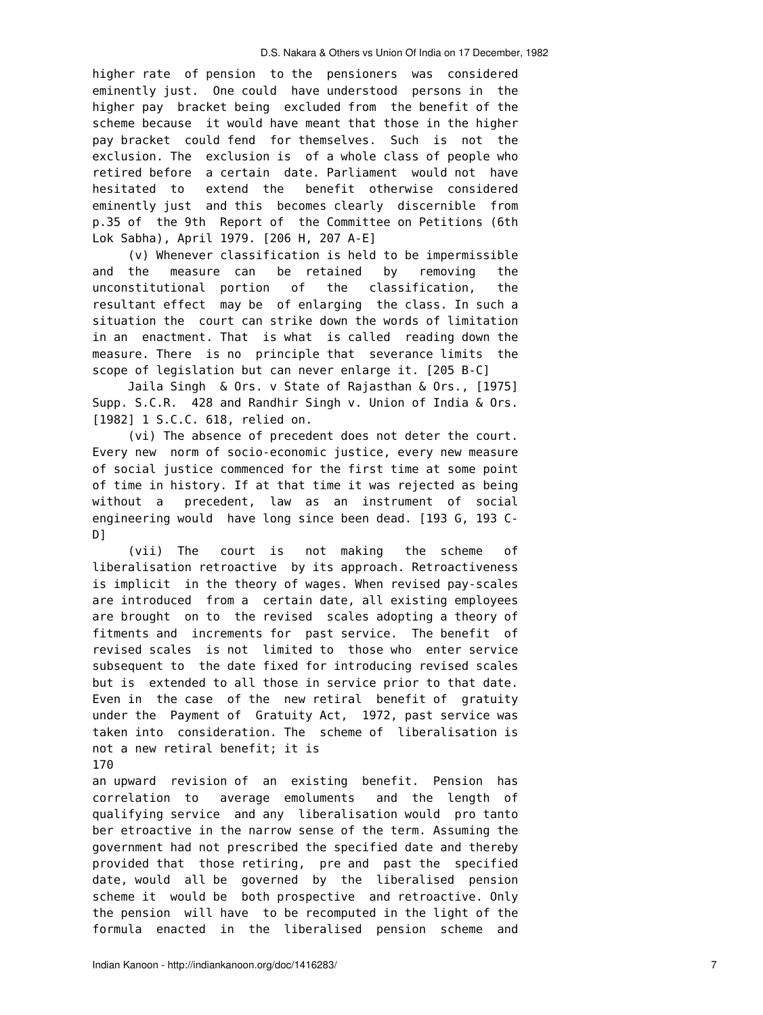higher rate of pension to the pensioners was considered eminently just. One could have understood persons in the higher pay bracket being excluded from the benefit of the scheme because it would have meant that those in the higher pay bracket could fend for themselves. Such is not the exclusion. The exclusion is of a whole class of people who retired before a certain date. Parliament would not have hesitated to extend the benefit otherwise considered eminently just and this becomes clearly discernible from p.35 of the 9th Report of the Committee on Petitions (6th Lok Sabha), April 1979. [206 H, 207 A-E]

 (v) Whenever classification is held to be impermissible and the measure can be retained by removing the unconstitutional portion of the classification, the resultant effect may be of enlarging the class. In such a situation the court can strike down the words of limitation in an enactment. That is what is called reading down the measure. There is no principle that severance limits the scope of legislation but can never enlarge it. [205 B-C]

 Jaila Singh & Ors. v State of Rajasthan & Ors., [1975] Supp. S.C.R. 428 and Randhir Singh v. Union of India & Ors. [1982] 1 S.C.C. 618, relied on.

 (vi) The absence of precedent does not deter the court. Every new norm of socio-economic justice, every new measure of social justice commenced for the first time at some point of time in history. If at that time it was rejected as being without a precedent, law as an instrument of social engineering would have long since been dead. [193 G, 193 C-D]

 (vii) The court is not making the scheme of liberalisation retroactive by its approach. Retroactiveness is implicit in the theory of wages. When revised pay-scales are introduced from a certain date, all existing employees are brought on to the revised scales adopting a theory of fitments and increments for past service. The benefit of revised scales is not limited to those who enter service subsequent to the date fixed for introducing revised scales but is extended to all those in service prior to that date. Even in the case of the new retiral benefit of gratuity under the Payment of Gratuity Act, 1972, past service was taken into consideration. The scheme of liberalisation is not a new retiral benefit; it is

an upward revision of an existing benefit. Pension has correlation to average emoluments and the length of qualifying service and any liberalisation would pro tanto ber etroactive in the narrow sense of the term. Assuming the government had not prescribed the specified date and thereby provided that those retiring, pre and past the specified date, would all be governed by the liberalised pension scheme it would be both prospective and retroactive. Only the pension will have to be recomputed in the light of the formula enacted in the liberalised pension scheme and

<sup>170</sup>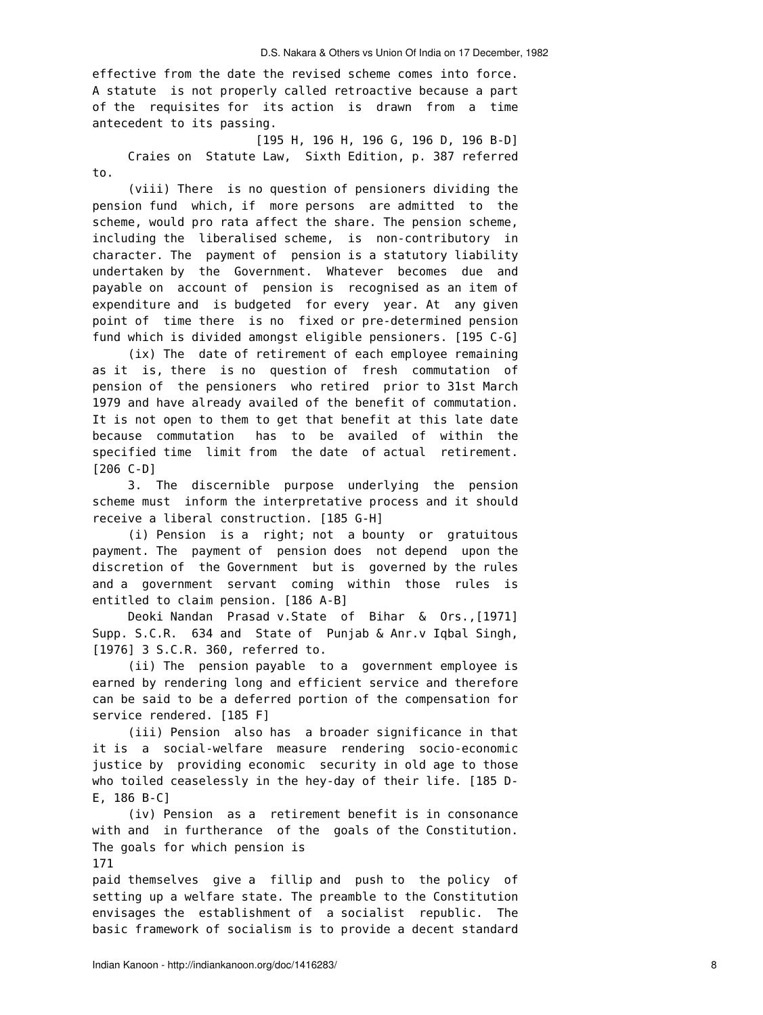effective from the date the revised scheme comes into force. A statute is not properly called retroactive because a part of the requisites for its action is drawn from a time antecedent to its passing.

 [195 H, 196 H, 196 G, 196 D, 196 B-D] Craies on Statute Law, Sixth Edition, p. 387 referred to.

 (viii) There is no question of pensioners dividing the pension fund which, if more persons are admitted to the scheme, would pro rata affect the share. The pension scheme, including the liberalised scheme, is non-contributory in character. The payment of pension is a statutory liability undertaken by the Government. Whatever becomes due and payable on account of pension is recognised as an item of expenditure and is budgeted for every year. At any given point of time there is no fixed or pre-determined pension fund which is divided amongst eligible pensioners. [195 C-G]

 (ix) The date of retirement of each employee remaining as it is, there is no question of fresh commutation of pension of the pensioners who retired prior to 31st March 1979 and have already availed of the benefit of commutation. It is not open to them to get that benefit at this late date because commutation has to be availed of within the specified time limit from the date of actual retirement. [206 C-D]

 3. The discernible purpose underlying the pension scheme must inform the interpretative process and it should receive a liberal construction. [185 G-H]

 (i) Pension is a right; not a bounty or gratuitous payment. The payment of pension does not depend upon the discretion of the Government but is governed by the rules and a government servant coming within those rules is entitled to claim pension. [186 A-B]

 Deoki Nandan Prasad v.State of Bihar & Ors.,[1971] Supp. S.C.R. 634 and State of Punjab & Anr.v Iqbal Singh, [1976] 3 S.C.R. 360, referred to.

 (ii) The pension payable to a government employee is earned by rendering long and efficient service and therefore can be said to be a deferred portion of the compensation for service rendered. [185 F]

 (iii) Pension also has a broader significance in that it is a social-welfare measure rendering socio-economic justice by providing economic security in old age to those who toiled ceaselessly in the hey-day of their life. [185 D-E, 186 B-C]

 (iv) Pension as a retirement benefit is in consonance with and in furtherance of the goals of the Constitution. The goals for which pension is

171

paid themselves give a fillip and push to the policy of setting up a welfare state. The preamble to the Constitution envisages the establishment of a socialist republic. The basic framework of socialism is to provide a decent standard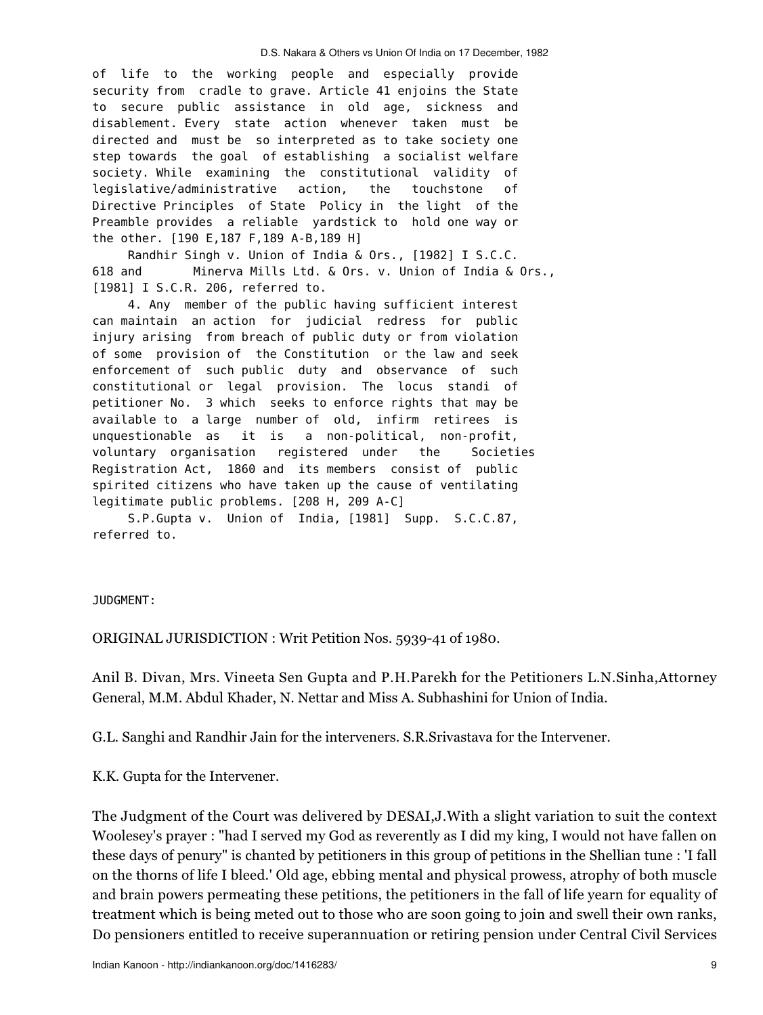of life to the working people and especially provide security from cradle to grave. Article 41 enjoins the State to secure public assistance in old age, sickness and disablement. Every state action whenever taken must be directed and must be so interpreted as to take society one step towards the goal of establishing a socialist welfare society. While examining the constitutional validity of legislative/administrative action, the touchstone of Directive Principles of State Policy in the light of the Preamble provides a reliable yardstick to hold one way or the other. [190 E,187 F,189 A-B,189 H]

 Randhir Singh v. Union of India & Ors., [1982] I S.C.C. 618 and Minerva Mills Ltd. & Ors. v. Union of India & Ors., [1981] I S.C.R. 206, referred to.

 4. Any member of the public having sufficient interest can maintain an action for judicial redress for public injury arising from breach of public duty or from violation of some provision of the Constitution or the law and seek enforcement of such public duty and observance of such constitutional or legal provision. The locus standi of petitioner No. 3 which seeks to enforce rights that may be available to a large number of old, infirm retirees is unquestionable as it is a non-political, non-profit, voluntary organisation registered under the Societies Registration Act, 1860 and its members consist of public spirited citizens who have taken up the cause of ventilating legitimate public problems. [208 H, 209 A-C]

 S.P.Gupta v. Union of India, [1981] Supp. S.C.C.87, referred to.

JUDGMENT:

ORIGINAL JURISDICTION : Writ Petition Nos. 5939-41 of 1980.

Anil B. Divan, Mrs. Vineeta Sen Gupta and P.H.Parekh for the Petitioners L.N.Sinha,Attorney General, M.M. Abdul Khader, N. Nettar and Miss A. Subhashini for Union of India.

G.L. Sanghi and Randhir Jain for the interveners. S.R.Srivastava for the Intervener.

K.K. Gupta for the Intervener.

The Judgment of the Court was delivered by DESAI,J.With a slight variation to suit the context Woolesey's prayer : "had I served my God as reverently as I did my king, I would not have fallen on these days of penury" is chanted by petitioners in this group of petitions in the Shellian tune : 'I fall on the thorns of life I bleed.' Old age, ebbing mental and physical prowess, atrophy of both muscle and brain powers permeating these petitions, the petitioners in the fall of life yearn for equality of treatment which is being meted out to those who are soon going to join and swell their own ranks, Do pensioners entitled to receive superannuation or retiring pension under Central Civil Services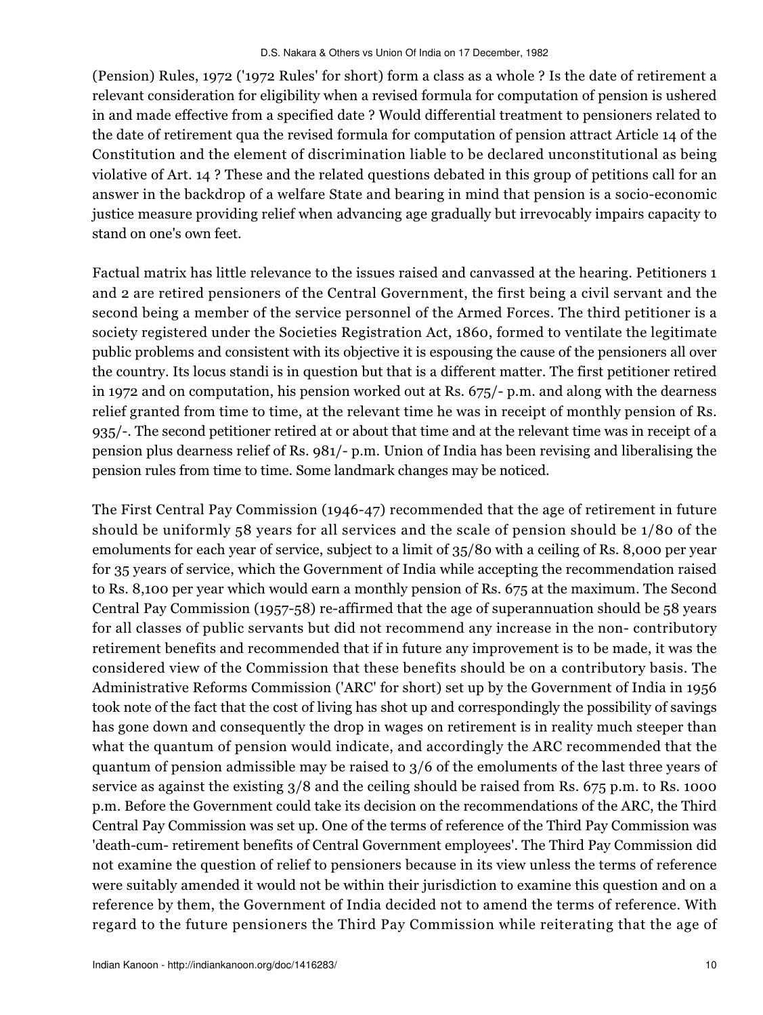(Pension) Rules, 1972 ('1972 Rules' for short) form a class as a whole ? Is the date of retirement a relevant consideration for eligibility when a revised formula for computation of pension is ushered in and made effective from a specified date ? Would differential treatment to pensioners related to the date of retirement qua the revised formula for computation of pension attract Article 14 of the Constitution and the element of discrimination liable to be declared unconstitutional as being violative of Art. 14 ? These and the related questions debated in this group of petitions call for an answer in the backdrop of a welfare State and bearing in mind that pension is a socio-economic justice measure providing relief when advancing age gradually but irrevocably impairs capacity to stand on one's own feet.

Factual matrix has little relevance to the issues raised and canvassed at the hearing. Petitioners 1 and 2 are retired pensioners of the Central Government, the first being a civil servant and the second being a member of the service personnel of the Armed Forces. The third petitioner is a society registered under the Societies Registration Act, 1860, formed to ventilate the legitimate public problems and consistent with its objective it is espousing the cause of the pensioners all over the country. Its locus standi is in question but that is a different matter. The first petitioner retired in 1972 and on computation, his pension worked out at Rs. 675/- p.m. and along with the dearness relief granted from time to time, at the relevant time he was in receipt of monthly pension of Rs. 935/-. The second petitioner retired at or about that time and at the relevant time was in receipt of a pension plus dearness relief of Rs. 981/- p.m. Union of India has been revising and liberalising the pension rules from time to time. Some landmark changes may be noticed.

The First Central Pay Commission (1946-47) recommended that the age of retirement in future should be uniformly 58 years for all services and the scale of pension should be 1/80 of the emoluments for each year of service, subject to a limit of 35/80 with a ceiling of Rs. 8,000 per year for 35 years of service, which the Government of India while accepting the recommendation raised to Rs. 8,100 per year which would earn a monthly pension of Rs. 675 at the maximum. The Second Central Pay Commission (1957-58) re-affirmed that the age of superannuation should be 58 years for all classes of public servants but did not recommend any increase in the non- contributory retirement benefits and recommended that if in future any improvement is to be made, it was the considered view of the Commission that these benefits should be on a contributory basis. The Administrative Reforms Commission ('ARC' for short) set up by the Government of India in 1956 took note of the fact that the cost of living has shot up and correspondingly the possibility of savings has gone down and consequently the drop in wages on retirement is in reality much steeper than what the quantum of pension would indicate, and accordingly the ARC recommended that the quantum of pension admissible may be raised to 3/6 of the emoluments of the last three years of service as against the existing  $3/8$  and the ceiling should be raised from Rs. 675 p.m. to Rs. 1000 p.m. Before the Government could take its decision on the recommendations of the ARC, the Third Central Pay Commission was set up. One of the terms of reference of the Third Pay Commission was 'death-cum- retirement benefits of Central Government employees'. The Third Pay Commission did not examine the question of relief to pensioners because in its view unless the terms of reference were suitably amended it would not be within their jurisdiction to examine this question and on a reference by them, the Government of India decided not to amend the terms of reference. With regard to the future pensioners the Third Pay Commission while reiterating that the age of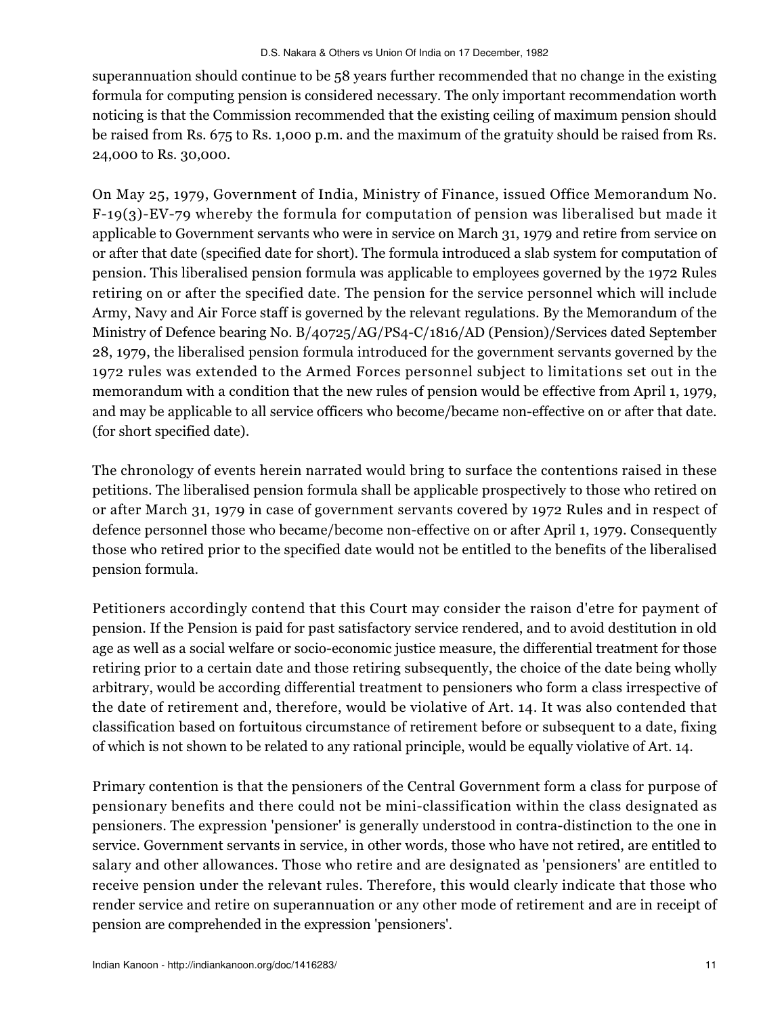superannuation should continue to be 58 years further recommended that no change in the existing formula for computing pension is considered necessary. The only important recommendation worth noticing is that the Commission recommended that the existing ceiling of maximum pension should be raised from Rs. 675 to Rs. 1,000 p.m. and the maximum of the gratuity should be raised from Rs. 24,000 to Rs. 30,000.

On May 25, 1979, Government of India, Ministry of Finance, issued Office Memorandum No. F-19(3)-EV-79 whereby the formula for computation of pension was liberalised but made it applicable to Government servants who were in service on March 31, 1979 and retire from service on or after that date (specified date for short). The formula introduced a slab system for computation of pension. This liberalised pension formula was applicable to employees governed by the 1972 Rules retiring on or after the specified date. The pension for the service personnel which will include Army, Navy and Air Force staff is governed by the relevant regulations. By the Memorandum of the Ministry of Defence bearing No. B/40725/AG/PS4-C/1816/AD (Pension)/Services dated September 28, 1979, the liberalised pension formula introduced for the government servants governed by the 1972 rules was extended to the Armed Forces personnel subject to limitations set out in the memorandum with a condition that the new rules of pension would be effective from April 1, 1979, and may be applicable to all service officers who become/became non-effective on or after that date. (for short specified date).

The chronology of events herein narrated would bring to surface the contentions raised in these petitions. The liberalised pension formula shall be applicable prospectively to those who retired on or after March 31, 1979 in case of government servants covered by 1972 Rules and in respect of defence personnel those who became/become non-effective on or after April 1, 1979. Consequently those who retired prior to the specified date would not be entitled to the benefits of the liberalised pension formula.

Petitioners accordingly contend that this Court may consider the raison d'etre for payment of pension. If the Pension is paid for past satisfactory service rendered, and to avoid destitution in old age as well as a social welfare or socio-economic justice measure, the differential treatment for those retiring prior to a certain date and those retiring subsequently, the choice of the date being wholly arbitrary, would be according differential treatment to pensioners who form a class irrespective of the date of retirement and, therefore, would be violative of Art. 14. It was also contended that classification based on fortuitous circumstance of retirement before or subsequent to a date, fixing of which is not shown to be related to any rational principle, would be equally violative of Art. 14.

Primary contention is that the pensioners of the Central Government form a class for purpose of pensionary benefits and there could not be mini-classification within the class designated as pensioners. The expression 'pensioner' is generally understood in contra-distinction to the one in service. Government servants in service, in other words, those who have not retired, are entitled to salary and other allowances. Those who retire and are designated as 'pensioners' are entitled to receive pension under the relevant rules. Therefore, this would clearly indicate that those who render service and retire on superannuation or any other mode of retirement and are in receipt of pension are comprehended in the expression 'pensioners'.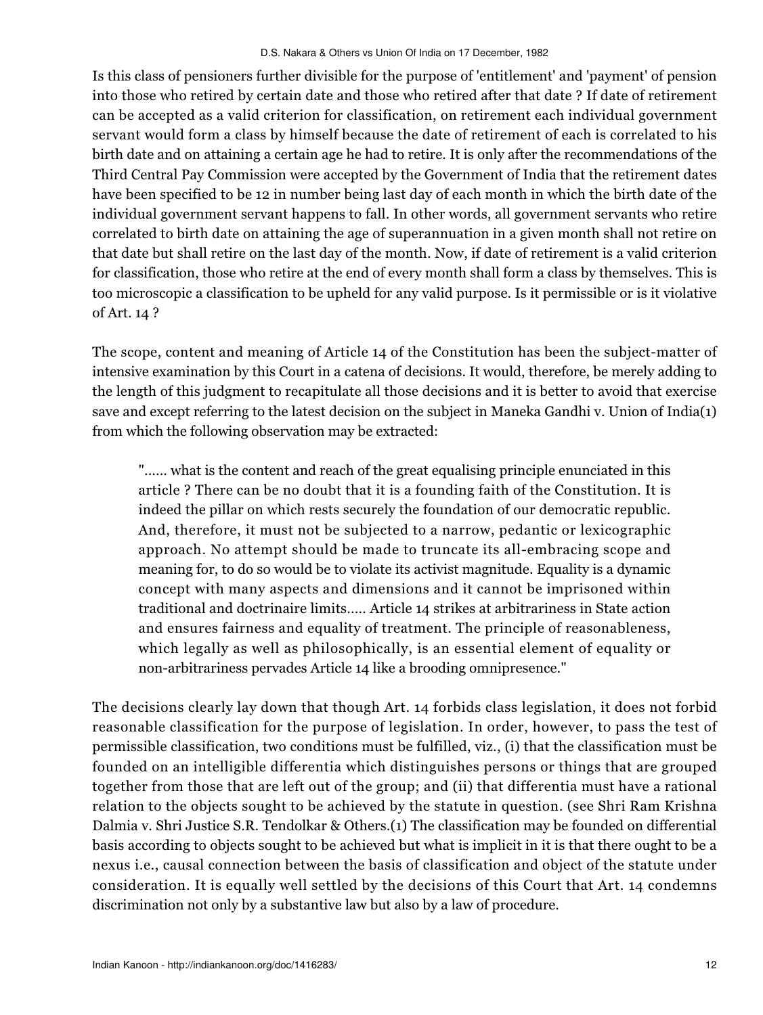Is this class of pensioners further divisible for the purpose of 'entitlement' and 'payment' of pension into those who retired by certain date and those who retired after that date ? If date of retirement can be accepted as a valid criterion for classification, on retirement each individual government servant would form a class by himself because the date of retirement of each is correlated to his birth date and on attaining a certain age he had to retire. It is only after the recommendations of the Third Central Pay Commission were accepted by the Government of India that the retirement dates have been specified to be 12 in number being last day of each month in which the birth date of the individual government servant happens to fall. In other words, all government servants who retire correlated to birth date on attaining the age of superannuation in a given month shall not retire on that date but shall retire on the last day of the month. Now, if date of retirement is a valid criterion for classification, those who retire at the end of every month shall form a class by themselves. This is too microscopic a classification to be upheld for any valid purpose. Is it permissible or is it violative of Art. 14 ?

The scope, content and meaning of Article 14 of the Constitution has been the subject-matter of intensive examination by this Court in a catena of decisions. It would, therefore, be merely adding to the length of this judgment to recapitulate all those decisions and it is better to avoid that exercise save and except referring to the latest decision on the subject in Maneka Gandhi v. Union of India(1) from which the following observation may be extracted:

"...... what is the content and reach of the great equalising principle enunciated in this article ? There can be no doubt that it is a founding faith of the Constitution. It is indeed the pillar on which rests securely the foundation of our democratic republic. And, therefore, it must not be subjected to a narrow, pedantic or lexicographic approach. No attempt should be made to truncate its all-embracing scope and meaning for, to do so would be to violate its activist magnitude. Equality is a dynamic concept with many aspects and dimensions and it cannot be imprisoned within traditional and doctrinaire limits..... Article 14 strikes at arbitrariness in State action and ensures fairness and equality of treatment. The principle of reasonableness, which legally as well as philosophically, is an essential element of equality or non-arbitrariness pervades Article 14 like a brooding omnipresence."

The decisions clearly lay down that though Art. 14 forbids class legislation, it does not forbid reasonable classification for the purpose of legislation. In order, however, to pass the test of permissible classification, two conditions must be fulfilled, viz., (i) that the classification must be founded on an intelligible differentia which distinguishes persons or things that are grouped together from those that are left out of the group; and (ii) that differentia must have a rational relation to the objects sought to be achieved by the statute in question. (see Shri Ram Krishna Dalmia v. Shri Justice S.R. Tendolkar & Others.(1) The classification may be founded on differential basis according to objects sought to be achieved but what is implicit in it is that there ought to be a nexus i.e., causal connection between the basis of classification and object of the statute under consideration. It is equally well settled by the decisions of this Court that Art. 14 condemns discrimination not only by a substantive law but also by a law of procedure.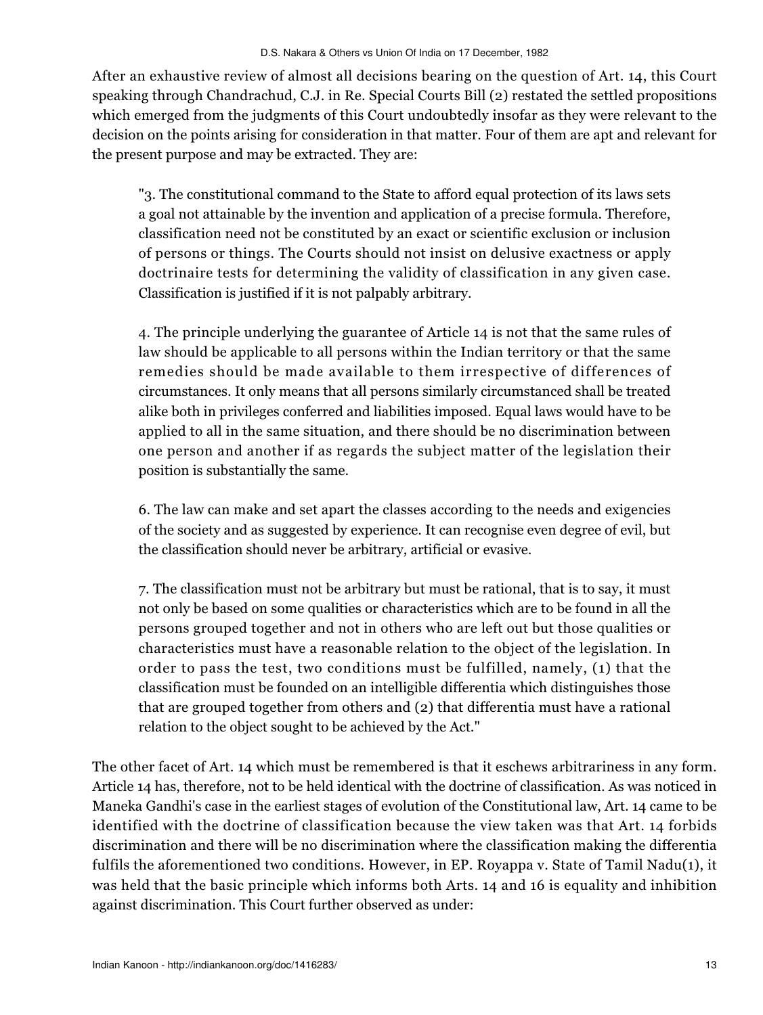After an exhaustive review of almost all decisions bearing on the question of Art. 14, this Court speaking through Chandrachud, C.J. in Re. Special Courts Bill (2) restated the settled propositions which emerged from the judgments of this Court undoubtedly insofar as they were relevant to the decision on the points arising for consideration in that matter. Four of them are apt and relevant for the present purpose and may be extracted. They are:

"3. The constitutional command to the State to afford equal protection of its laws sets a goal not attainable by the invention and application of a precise formula. Therefore, classification need not be constituted by an exact or scientific exclusion or inclusion of persons or things. The Courts should not insist on delusive exactness or apply doctrinaire tests for determining the validity of classification in any given case. Classification is justified if it is not palpably arbitrary.

4. The principle underlying the guarantee of Article 14 is not that the same rules of law should be applicable to all persons within the Indian territory or that the same remedies should be made available to them irrespective of differences of circumstances. It only means that all persons similarly circumstanced shall be treated alike both in privileges conferred and liabilities imposed. Equal laws would have to be applied to all in the same situation, and there should be no discrimination between one person and another if as regards the subject matter of the legislation their position is substantially the same.

6. The law can make and set apart the classes according to the needs and exigencies of the society and as suggested by experience. It can recognise even degree of evil, but the classification should never be arbitrary, artificial or evasive.

7. The classification must not be arbitrary but must be rational, that is to say, it must not only be based on some qualities or characteristics which are to be found in all the persons grouped together and not in others who are left out but those qualities or characteristics must have a reasonable relation to the object of the legislation. In order to pass the test, two conditions must be fulfilled, namely, (1) that the classification must be founded on an intelligible differentia which distinguishes those that are grouped together from others and (2) that differentia must have a rational relation to the object sought to be achieved by the Act."

The other facet of Art. 14 which must be remembered is that it eschews arbitrariness in any form. Article 14 has, therefore, not to be held identical with the doctrine of classification. As was noticed in Maneka Gandhi's case in the earliest stages of evolution of the Constitutional law, Art. 14 came to be identified with the doctrine of classification because the view taken was that Art. 14 forbids discrimination and there will be no discrimination where the classification making the differentia fulfils the aforementioned two conditions. However, in EP. Royappa v. State of Tamil Nadu(1), it was held that the basic principle which informs both Arts. 14 and 16 is equality and inhibition against discrimination. This Court further observed as under: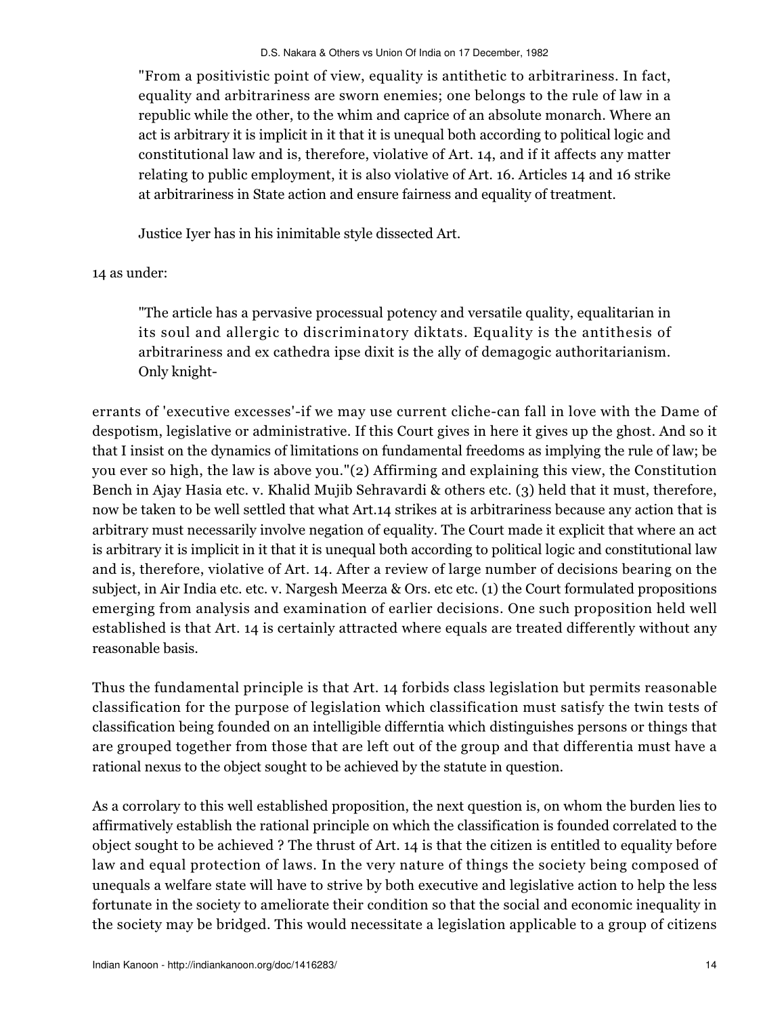"From a positivistic point of view, equality is antithetic to arbitrariness. In fact, equality and arbitrariness are sworn enemies; one belongs to the rule of law in a republic while the other, to the whim and caprice of an absolute monarch. Where an act is arbitrary it is implicit in it that it is unequal both according to political logic and constitutional law and is, therefore, violative of Art. 14, and if it affects any matter relating to public employment, it is also violative of Art. 16. Articles 14 and 16 strike at arbitrariness in State action and ensure fairness and equality of treatment.

Justice Iyer has in his inimitable style dissected Art.

14 as under:

"The article has a pervasive processual potency and versatile quality, equalitarian in its soul and allergic to discriminatory diktats. Equality is the antithesis of arbitrariness and ex cathedra ipse dixit is the ally of demagogic authoritarianism. Only knight-

errants of 'executive excesses'-if we may use current cliche-can fall in love with the Dame of despotism, legislative or administrative. If this Court gives in here it gives up the ghost. And so it that I insist on the dynamics of limitations on fundamental freedoms as implying the rule of law; be you ever so high, the law is above you."(2) Affirming and explaining this view, the Constitution Bench in Ajay Hasia etc. v. Khalid Mujib Sehravardi & others etc. (3) held that it must, therefore, now be taken to be well settled that what Art.14 strikes at is arbitrariness because any action that is arbitrary must necessarily involve negation of equality. The Court made it explicit that where an act is arbitrary it is implicit in it that it is unequal both according to political logic and constitutional law and is, therefore, violative of Art. 14. After a review of large number of decisions bearing on the subject, in Air India etc. etc. v. Nargesh Meerza & Ors. etc etc. (1) the Court formulated propositions emerging from analysis and examination of earlier decisions. One such proposition held well established is that Art. 14 is certainly attracted where equals are treated differently without any reasonable basis.

Thus the fundamental principle is that Art. 14 forbids class legislation but permits reasonable classification for the purpose of legislation which classification must satisfy the twin tests of classification being founded on an intelligible differntia which distinguishes persons or things that are grouped together from those that are left out of the group and that differentia must have a rational nexus to the object sought to be achieved by the statute in question.

As a corrolary to this well established proposition, the next question is, on whom the burden lies to affirmatively establish the rational principle on which the classification is founded correlated to the object sought to be achieved ? The thrust of Art. 14 is that the citizen is entitled to equality before law and equal protection of laws. In the very nature of things the society being composed of unequals a welfare state will have to strive by both executive and legislative action to help the less fortunate in the society to ameliorate their condition so that the social and economic inequality in the society may be bridged. This would necessitate a legislation applicable to a group of citizens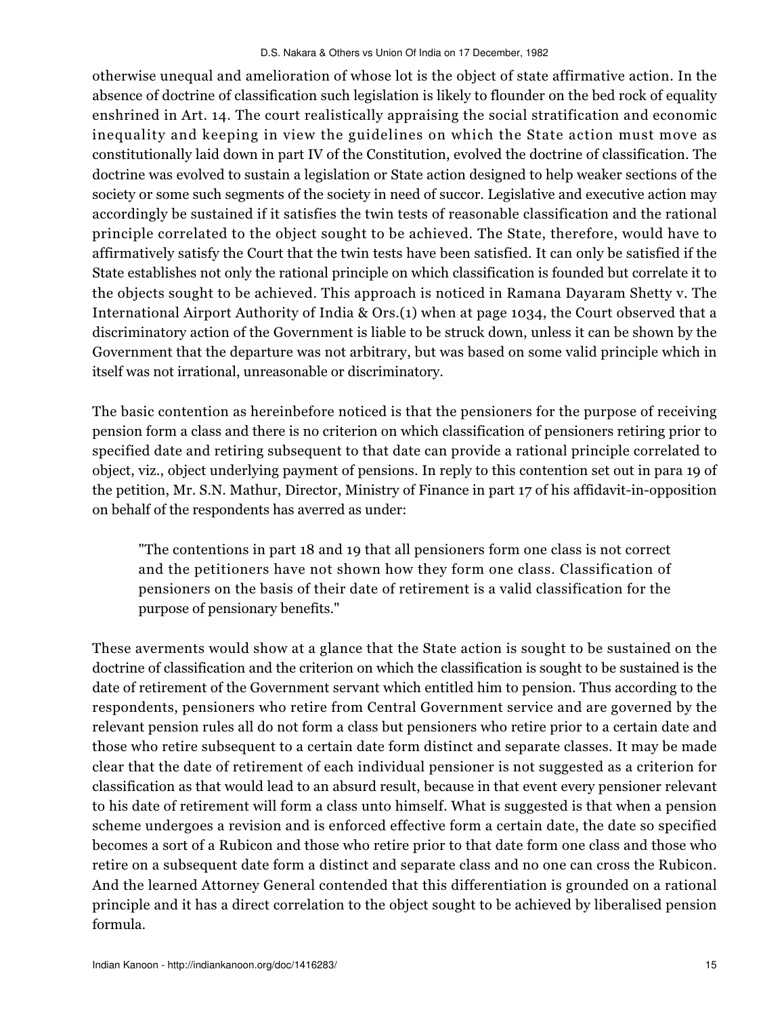otherwise unequal and amelioration of whose lot is the object of state affirmative action. In the absence of doctrine of classification such legislation is likely to flounder on the bed rock of equality enshrined in Art. 14. The court realistically appraising the social stratification and economic inequality and keeping in view the guidelines on which the State action must move as constitutionally laid down in part IV of the Constitution, evolved the doctrine of classification. The doctrine was evolved to sustain a legislation or State action designed to help weaker sections of the society or some such segments of the society in need of succor. Legislative and executive action may accordingly be sustained if it satisfies the twin tests of reasonable classification and the rational principle correlated to the object sought to be achieved. The State, therefore, would have to affirmatively satisfy the Court that the twin tests have been satisfied. It can only be satisfied if the State establishes not only the rational principle on which classification is founded but correlate it to the objects sought to be achieved. This approach is noticed in Ramana Dayaram Shetty v. The International Airport Authority of India & Ors.(1) when at page 1034, the Court observed that a discriminatory action of the Government is liable to be struck down, unless it can be shown by the Government that the departure was not arbitrary, but was based on some valid principle which in itself was not irrational, unreasonable or discriminatory.

The basic contention as hereinbefore noticed is that the pensioners for the purpose of receiving pension form a class and there is no criterion on which classification of pensioners retiring prior to specified date and retiring subsequent to that date can provide a rational principle correlated to object, viz., object underlying payment of pensions. In reply to this contention set out in para 19 of the petition, Mr. S.N. Mathur, Director, Ministry of Finance in part 17 of his affidavit-in-opposition on behalf of the respondents has averred as under:

"The contentions in part 18 and 19 that all pensioners form one class is not correct and the petitioners have not shown how they form one class. Classification of pensioners on the basis of their date of retirement is a valid classification for the purpose of pensionary benefits."

These averments would show at a glance that the State action is sought to be sustained on the doctrine of classification and the criterion on which the classification is sought to be sustained is the date of retirement of the Government servant which entitled him to pension. Thus according to the respondents, pensioners who retire from Central Government service and are governed by the relevant pension rules all do not form a class but pensioners who retire prior to a certain date and those who retire subsequent to a certain date form distinct and separate classes. It may be made clear that the date of retirement of each individual pensioner is not suggested as a criterion for classification as that would lead to an absurd result, because in that event every pensioner relevant to his date of retirement will form a class unto himself. What is suggested is that when a pension scheme undergoes a revision and is enforced effective form a certain date, the date so specified becomes a sort of a Rubicon and those who retire prior to that date form one class and those who retire on a subsequent date form a distinct and separate class and no one can cross the Rubicon. And the learned Attorney General contended that this differentiation is grounded on a rational principle and it has a direct correlation to the object sought to be achieved by liberalised pension formula.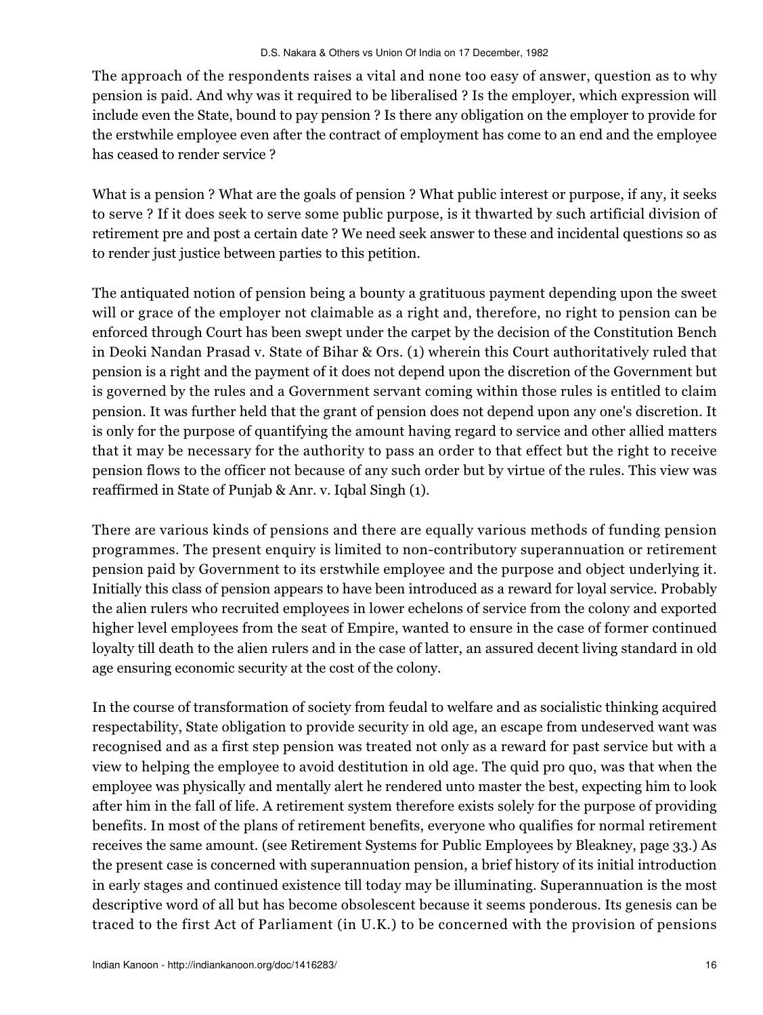The approach of the respondents raises a vital and none too easy of answer, question as to why pension is paid. And why was it required to be liberalised ? Is the employer, which expression will include even the State, bound to pay pension ? Is there any obligation on the employer to provide for the erstwhile employee even after the contract of employment has come to an end and the employee has ceased to render service ?

What is a pension ? What are the goals of pension ? What public interest or purpose, if any, it seeks to serve ? If it does seek to serve some public purpose, is it thwarted by such artificial division of retirement pre and post a certain date ? We need seek answer to these and incidental questions so as to render just justice between parties to this petition.

The antiquated notion of pension being a bounty a gratituous payment depending upon the sweet will or grace of the employer not claimable as a right and, therefore, no right to pension can be enforced through Court has been swept under the carpet by the decision of the Constitution Bench in Deoki Nandan Prasad v. State of Bihar & Ors. (1) wherein this Court authoritatively ruled that pension is a right and the payment of it does not depend upon the discretion of the Government but is governed by the rules and a Government servant coming within those rules is entitled to claim pension. It was further held that the grant of pension does not depend upon any one's discretion. It is only for the purpose of quantifying the amount having regard to service and other allied matters that it may be necessary for the authority to pass an order to that effect but the right to receive pension flows to the officer not because of any such order but by virtue of the rules. This view was reaffirmed in State of Punjab & Anr. v. Iqbal Singh (1).

There are various kinds of pensions and there are equally various methods of funding pension programmes. The present enquiry is limited to non-contributory superannuation or retirement pension paid by Government to its erstwhile employee and the purpose and object underlying it. Initially this class of pension appears to have been introduced as a reward for loyal service. Probably the alien rulers who recruited employees in lower echelons of service from the colony and exported higher level employees from the seat of Empire, wanted to ensure in the case of former continued loyalty till death to the alien rulers and in the case of latter, an assured decent living standard in old age ensuring economic security at the cost of the colony.

In the course of transformation of society from feudal to welfare and as socialistic thinking acquired respectability, State obligation to provide security in old age, an escape from undeserved want was recognised and as a first step pension was treated not only as a reward for past service but with a view to helping the employee to avoid destitution in old age. The quid pro quo, was that when the employee was physically and mentally alert he rendered unto master the best, expecting him to look after him in the fall of life. A retirement system therefore exists solely for the purpose of providing benefits. In most of the plans of retirement benefits, everyone who qualifies for normal retirement receives the same amount. (see Retirement Systems for Public Employees by Bleakney, page 33.) As the present case is concerned with superannuation pension, a brief history of its initial introduction in early stages and continued existence till today may be illuminating. Superannuation is the most descriptive word of all but has become obsolescent because it seems ponderous. Its genesis can be traced to the first Act of Parliament (in U.K.) to be concerned with the provision of pensions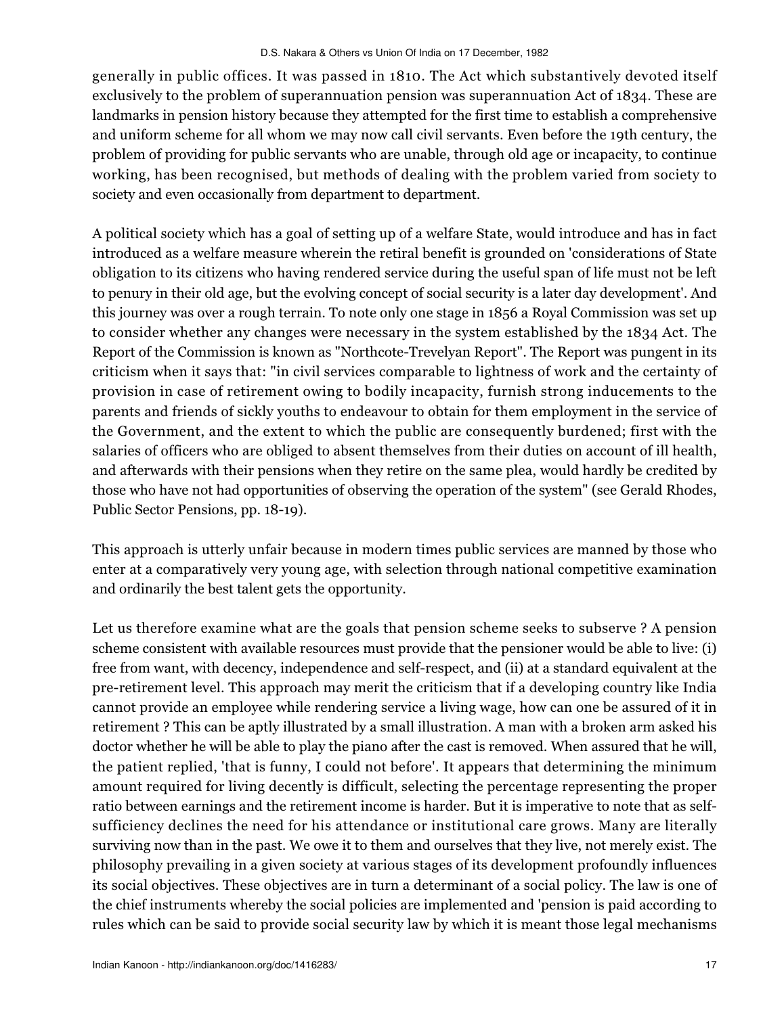generally in public offices. It was passed in 1810. The Act which substantively devoted itself exclusively to the problem of superannuation pension was superannuation Act of 1834. These are landmarks in pension history because they attempted for the first time to establish a comprehensive and uniform scheme for all whom we may now call civil servants. Even before the 19th century, the problem of providing for public servants who are unable, through old age or incapacity, to continue working, has been recognised, but methods of dealing with the problem varied from society to society and even occasionally from department to department.

A political society which has a goal of setting up of a welfare State, would introduce and has in fact introduced as a welfare measure wherein the retiral benefit is grounded on 'considerations of State obligation to its citizens who having rendered service during the useful span of life must not be left to penury in their old age, but the evolving concept of social security is a later day development'. And this journey was over a rough terrain. To note only one stage in 1856 a Royal Commission was set up to consider whether any changes were necessary in the system established by the 1834 Act. The Report of the Commission is known as "Northcote-Trevelyan Report". The Report was pungent in its criticism when it says that: "in civil services comparable to lightness of work and the certainty of provision in case of retirement owing to bodily incapacity, furnish strong inducements to the parents and friends of sickly youths to endeavour to obtain for them employment in the service of the Government, and the extent to which the public are consequently burdened; first with the salaries of officers who are obliged to absent themselves from their duties on account of ill health, and afterwards with their pensions when they retire on the same plea, would hardly be credited by those who have not had opportunities of observing the operation of the system" (see Gerald Rhodes, Public Sector Pensions, pp. 18-19).

This approach is utterly unfair because in modern times public services are manned by those who enter at a comparatively very young age, with selection through national competitive examination and ordinarily the best talent gets the opportunity.

Let us therefore examine what are the goals that pension scheme seeks to subserve ? A pension scheme consistent with available resources must provide that the pensioner would be able to live: (i) free from want, with decency, independence and self-respect, and (ii) at a standard equivalent at the pre-retirement level. This approach may merit the criticism that if a developing country like India cannot provide an employee while rendering service a living wage, how can one be assured of it in retirement ? This can be aptly illustrated by a small illustration. A man with a broken arm asked his doctor whether he will be able to play the piano after the cast is removed. When assured that he will, the patient replied, 'that is funny, I could not before'. It appears that determining the minimum amount required for living decently is difficult, selecting the percentage representing the proper ratio between earnings and the retirement income is harder. But it is imperative to note that as selfsufficiency declines the need for his attendance or institutional care grows. Many are literally surviving now than in the past. We owe it to them and ourselves that they live, not merely exist. The philosophy prevailing in a given society at various stages of its development profoundly influences its social objectives. These objectives are in turn a determinant of a social policy. The law is one of the chief instruments whereby the social policies are implemented and 'pension is paid according to rules which can be said to provide social security law by which it is meant those legal mechanisms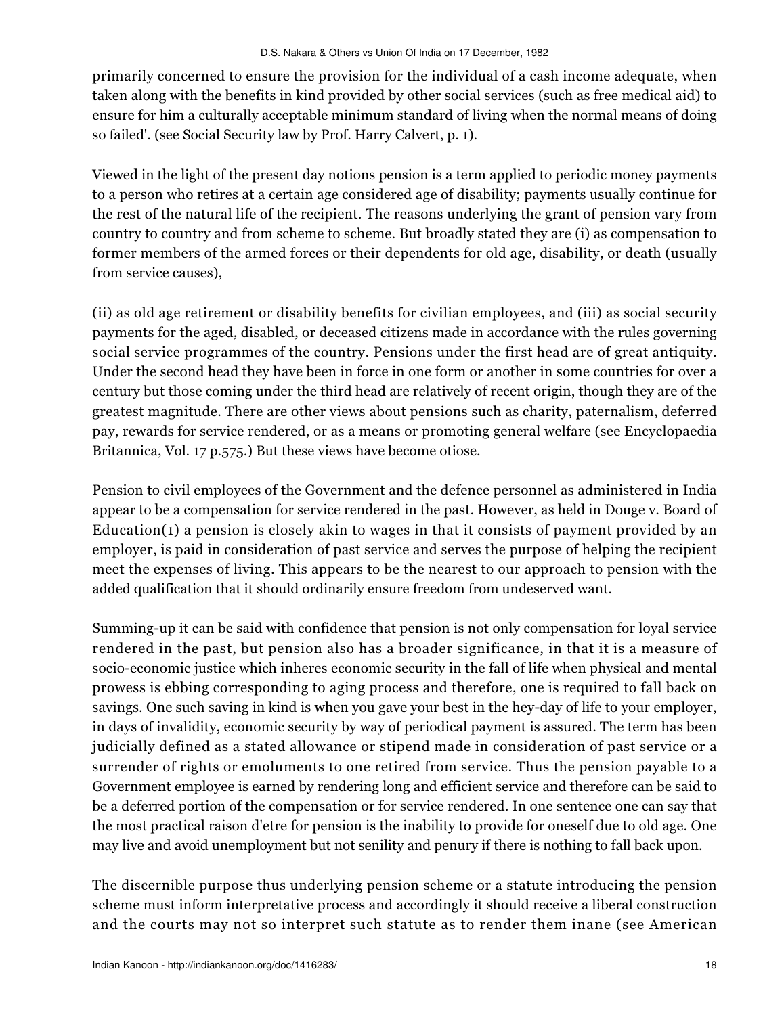primarily concerned to ensure the provision for the individual of a cash income adequate, when taken along with the benefits in kind provided by other social services (such as free medical aid) to ensure for him a culturally acceptable minimum standard of living when the normal means of doing so failed'. (see Social Security law by Prof. Harry Calvert, p. 1).

Viewed in the light of the present day notions pension is a term applied to periodic money payments to a person who retires at a certain age considered age of disability; payments usually continue for the rest of the natural life of the recipient. The reasons underlying the grant of pension vary from country to country and from scheme to scheme. But broadly stated they are (i) as compensation to former members of the armed forces or their dependents for old age, disability, or death (usually from service causes),

(ii) as old age retirement or disability benefits for civilian employees, and (iii) as social security payments for the aged, disabled, or deceased citizens made in accordance with the rules governing social service programmes of the country. Pensions under the first head are of great antiquity. Under the second head they have been in force in one form or another in some countries for over a century but those coming under the third head are relatively of recent origin, though they are of the greatest magnitude. There are other views about pensions such as charity, paternalism, deferred pay, rewards for service rendered, or as a means or promoting general welfare (see Encyclopaedia Britannica, Vol. 17 p.575.) But these views have become otiose.

Pension to civil employees of the Government and the defence personnel as administered in India appear to be a compensation for service rendered in the past. However, as held in Douge v. Board of Education(1) a pension is closely akin to wages in that it consists of payment provided by an employer, is paid in consideration of past service and serves the purpose of helping the recipient meet the expenses of living. This appears to be the nearest to our approach to pension with the added qualification that it should ordinarily ensure freedom from undeserved want.

Summing-up it can be said with confidence that pension is not only compensation for loyal service rendered in the past, but pension also has a broader significance, in that it is a measure of socio-economic justice which inheres economic security in the fall of life when physical and mental prowess is ebbing corresponding to aging process and therefore, one is required to fall back on savings. One such saving in kind is when you gave your best in the hey-day of life to your employer, in days of invalidity, economic security by way of periodical payment is assured. The term has been judicially defined as a stated allowance or stipend made in consideration of past service or a surrender of rights or emoluments to one retired from service. Thus the pension payable to a Government employee is earned by rendering long and efficient service and therefore can be said to be a deferred portion of the compensation or for service rendered. In one sentence one can say that the most practical raison d'etre for pension is the inability to provide for oneself due to old age. One may live and avoid unemployment but not senility and penury if there is nothing to fall back upon.

The discernible purpose thus underlying pension scheme or a statute introducing the pension scheme must inform interpretative process and accordingly it should receive a liberal construction and the courts may not so interpret such statute as to render them inane (see American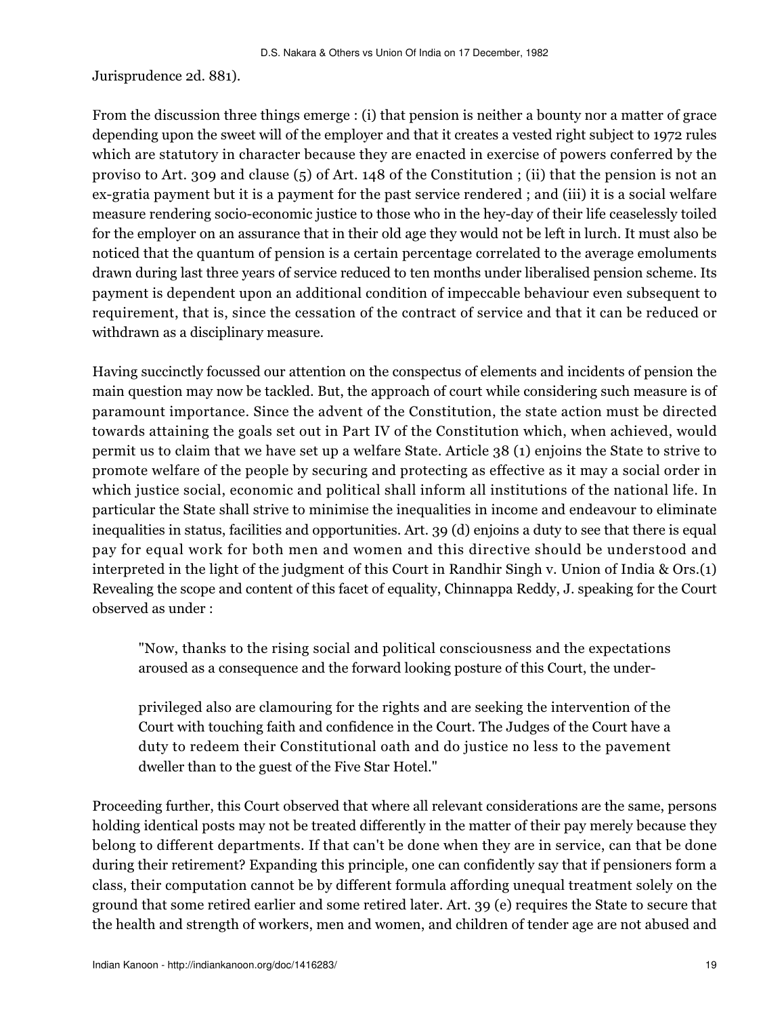Jurisprudence 2d. 881).

From the discussion three things emerge : (i) that pension is neither a bounty nor a matter of grace depending upon the sweet will of the employer and that it creates a vested right subject to 1972 rules which are statutory in character because they are enacted in exercise of powers conferred by the proviso to Art. 309 and clause (5) of Art. 148 of the Constitution ; (ii) that the pension is not an ex-gratia payment but it is a payment for the past service rendered ; and (iii) it is a social welfare measure rendering socio-economic justice to those who in the hey-day of their life ceaselessly toiled for the employer on an assurance that in their old age they would not be left in lurch. It must also be noticed that the quantum of pension is a certain percentage correlated to the average emoluments drawn during last three years of service reduced to ten months under liberalised pension scheme. Its payment is dependent upon an additional condition of impeccable behaviour even subsequent to requirement, that is, since the cessation of the contract of service and that it can be reduced or withdrawn as a disciplinary measure.

Having succinctly focussed our attention on the conspectus of elements and incidents of pension the main question may now be tackled. But, the approach of court while considering such measure is of paramount importance. Since the advent of the Constitution, the state action must be directed towards attaining the goals set out in Part IV of the Constitution which, when achieved, would permit us to claim that we have set up a welfare State. Article 38 (1) enjoins the State to strive to promote welfare of the people by securing and protecting as effective as it may a social order in which justice social, economic and political shall inform all institutions of the national life. In particular the State shall strive to minimise the inequalities in income and endeavour to eliminate inequalities in status, facilities and opportunities. Art. 39 (d) enjoins a duty to see that there is equal pay for equal work for both men and women and this directive should be understood and interpreted in the light of the judgment of this Court in Randhir Singh v. Union of India & Ors.(1) Revealing the scope and content of this facet of equality, Chinnappa Reddy, J. speaking for the Court observed as under :

"Now, thanks to the rising social and political consciousness and the expectations aroused as a consequence and the forward looking posture of this Court, the under-

privileged also are clamouring for the rights and are seeking the intervention of the Court with touching faith and confidence in the Court. The Judges of the Court have a duty to redeem their Constitutional oath and do justice no less to the pavement dweller than to the guest of the Five Star Hotel."

Proceeding further, this Court observed that where all relevant considerations are the same, persons holding identical posts may not be treated differently in the matter of their pay merely because they belong to different departments. If that can't be done when they are in service, can that be done during their retirement? Expanding this principle, one can confidently say that if pensioners form a class, their computation cannot be by different formula affording unequal treatment solely on the ground that some retired earlier and some retired later. Art. 39 (e) requires the State to secure that the health and strength of workers, men and women, and children of tender age are not abused and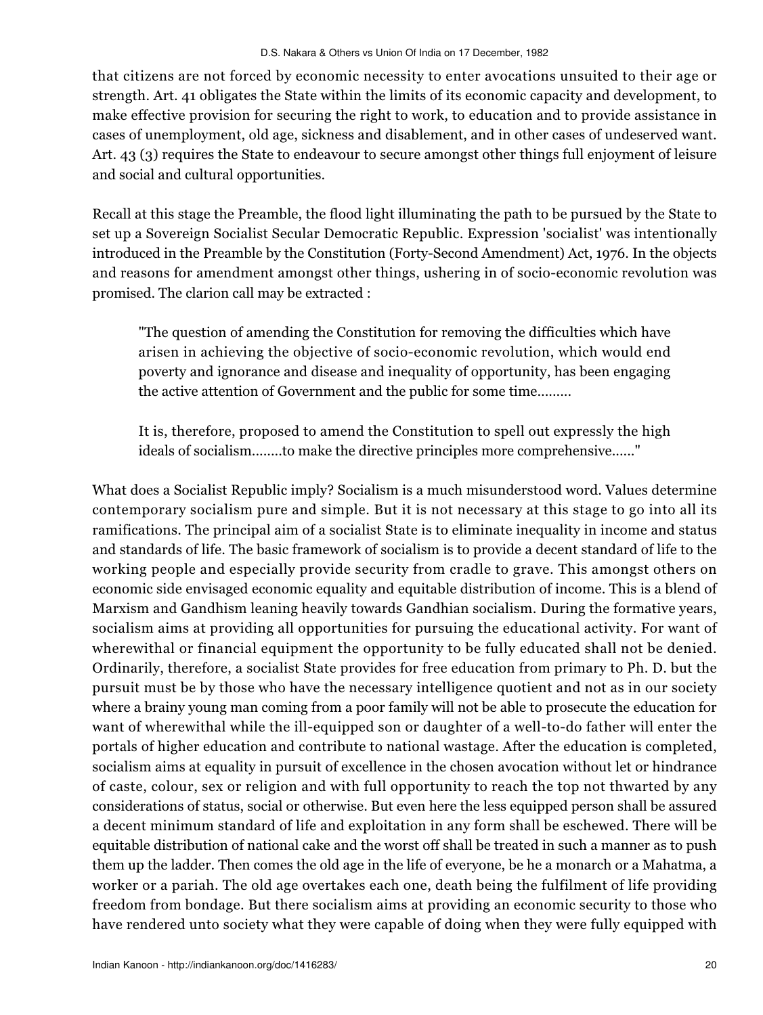that citizens are not forced by economic necessity to enter avocations unsuited to their age or strength. Art. 41 obligates the State within the limits of its economic capacity and development, to make effective provision for securing the right to work, to education and to provide assistance in cases of unemployment, old age, sickness and disablement, and in other cases of undeserved want. Art. 43 (3) requires the State to endeavour to secure amongst other things full enjoyment of leisure and social and cultural opportunities.

Recall at this stage the Preamble, the flood light illuminating the path to be pursued by the State to set up a Sovereign Socialist Secular Democratic Republic. Expression 'socialist' was intentionally introduced in the Preamble by the Constitution (Forty-Second Amendment) Act, 1976. In the objects and reasons for amendment amongst other things, ushering in of socio-economic revolution was promised. The clarion call may be extracted :

"The question of amending the Constitution for removing the difficulties which have arisen in achieving the objective of socio-economic revolution, which would end poverty and ignorance and disease and inequality of opportunity, has been engaging the active attention of Government and the public for some time.........

It is, therefore, proposed to amend the Constitution to spell out expressly the high ideals of socialism........to make the directive principles more comprehensive......"

What does a Socialist Republic imply? Socialism is a much misunderstood word. Values determine contemporary socialism pure and simple. But it is not necessary at this stage to go into all its ramifications. The principal aim of a socialist State is to eliminate inequality in income and status and standards of life. The basic framework of socialism is to provide a decent standard of life to the working people and especially provide security from cradle to grave. This amongst others on economic side envisaged economic equality and equitable distribution of income. This is a blend of Marxism and Gandhism leaning heavily towards Gandhian socialism. During the formative years, socialism aims at providing all opportunities for pursuing the educational activity. For want of wherewithal or financial equipment the opportunity to be fully educated shall not be denied. Ordinarily, therefore, a socialist State provides for free education from primary to Ph. D. but the pursuit must be by those who have the necessary intelligence quotient and not as in our society where a brainy young man coming from a poor family will not be able to prosecute the education for want of wherewithal while the ill-equipped son or daughter of a well-to-do father will enter the portals of higher education and contribute to national wastage. After the education is completed, socialism aims at equality in pursuit of excellence in the chosen avocation without let or hindrance of caste, colour, sex or religion and with full opportunity to reach the top not thwarted by any considerations of status, social or otherwise. But even here the less equipped person shall be assured a decent minimum standard of life and exploitation in any form shall be eschewed. There will be equitable distribution of national cake and the worst off shall be treated in such a manner as to push them up the ladder. Then comes the old age in the life of everyone, be he a monarch or a Mahatma, a worker or a pariah. The old age overtakes each one, death being the fulfilment of life providing freedom from bondage. But there socialism aims at providing an economic security to those who have rendered unto society what they were capable of doing when they were fully equipped with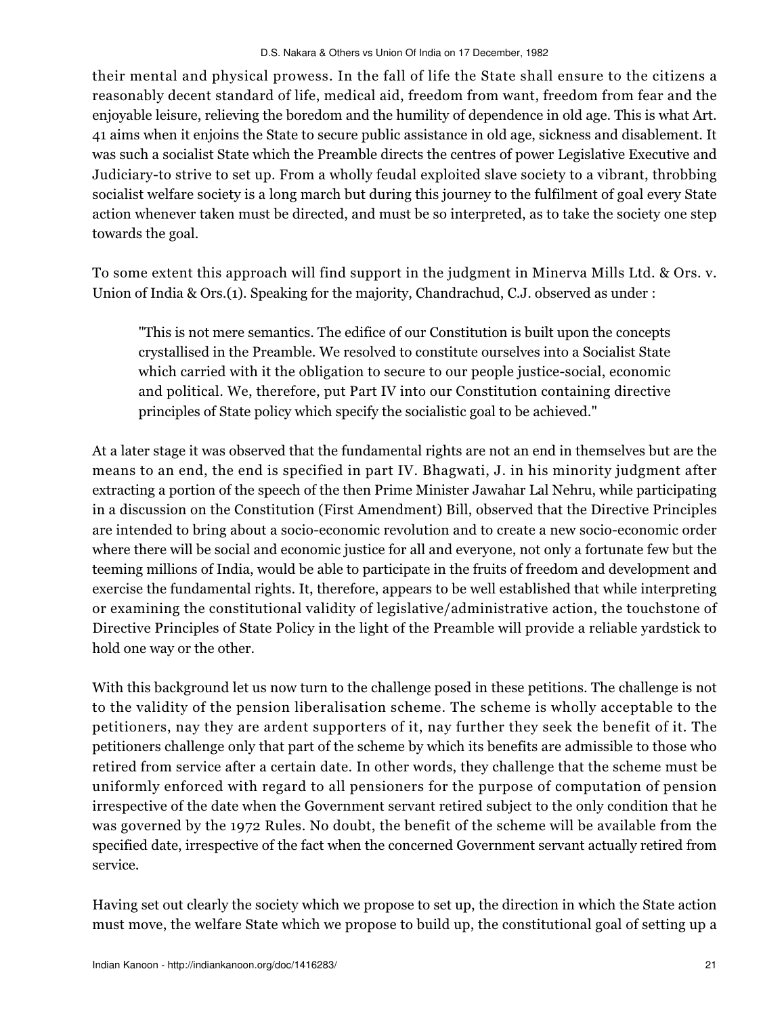their mental and physical prowess. In the fall of life the State shall ensure to the citizens a reasonably decent standard of life, medical aid, freedom from want, freedom from fear and the enjoyable leisure, relieving the boredom and the humility of dependence in old age. This is what Art. 41 aims when it enjoins the State to secure public assistance in old age, sickness and disablement. It was such a socialist State which the Preamble directs the centres of power Legislative Executive and Judiciary-to strive to set up. From a wholly feudal exploited slave society to a vibrant, throbbing socialist welfare society is a long march but during this journey to the fulfilment of goal every State action whenever taken must be directed, and must be so interpreted, as to take the society one step towards the goal.

To some extent this approach will find support in the judgment in Minerva Mills Ltd. & Ors. v. Union of India & Ors.(1). Speaking for the majority, Chandrachud, C.J. observed as under :

"This is not mere semantics. The edifice of our Constitution is built upon the concepts crystallised in the Preamble. We resolved to constitute ourselves into a Socialist State which carried with it the obligation to secure to our people justice-social, economic and political. We, therefore, put Part IV into our Constitution containing directive principles of State policy which specify the socialistic goal to be achieved."

At a later stage it was observed that the fundamental rights are not an end in themselves but are the means to an end, the end is specified in part IV. Bhagwati, J. in his minority judgment after extracting a portion of the speech of the then Prime Minister Jawahar Lal Nehru, while participating in a discussion on the Constitution (First Amendment) Bill, observed that the Directive Principles are intended to bring about a socio-economic revolution and to create a new socio-economic order where there will be social and economic justice for all and everyone, not only a fortunate few but the teeming millions of India, would be able to participate in the fruits of freedom and development and exercise the fundamental rights. It, therefore, appears to be well established that while interpreting or examining the constitutional validity of legislative/administrative action, the touchstone of Directive Principles of State Policy in the light of the Preamble will provide a reliable yardstick to hold one way or the other.

With this background let us now turn to the challenge posed in these petitions. The challenge is not to the validity of the pension liberalisation scheme. The scheme is wholly acceptable to the petitioners, nay they are ardent supporters of it, nay further they seek the benefit of it. The petitioners challenge only that part of the scheme by which its benefits are admissible to those who retired from service after a certain date. In other words, they challenge that the scheme must be uniformly enforced with regard to all pensioners for the purpose of computation of pension irrespective of the date when the Government servant retired subject to the only condition that he was governed by the 1972 Rules. No doubt, the benefit of the scheme will be available from the specified date, irrespective of the fact when the concerned Government servant actually retired from service.

Having set out clearly the society which we propose to set up, the direction in which the State action must move, the welfare State which we propose to build up, the constitutional goal of setting up a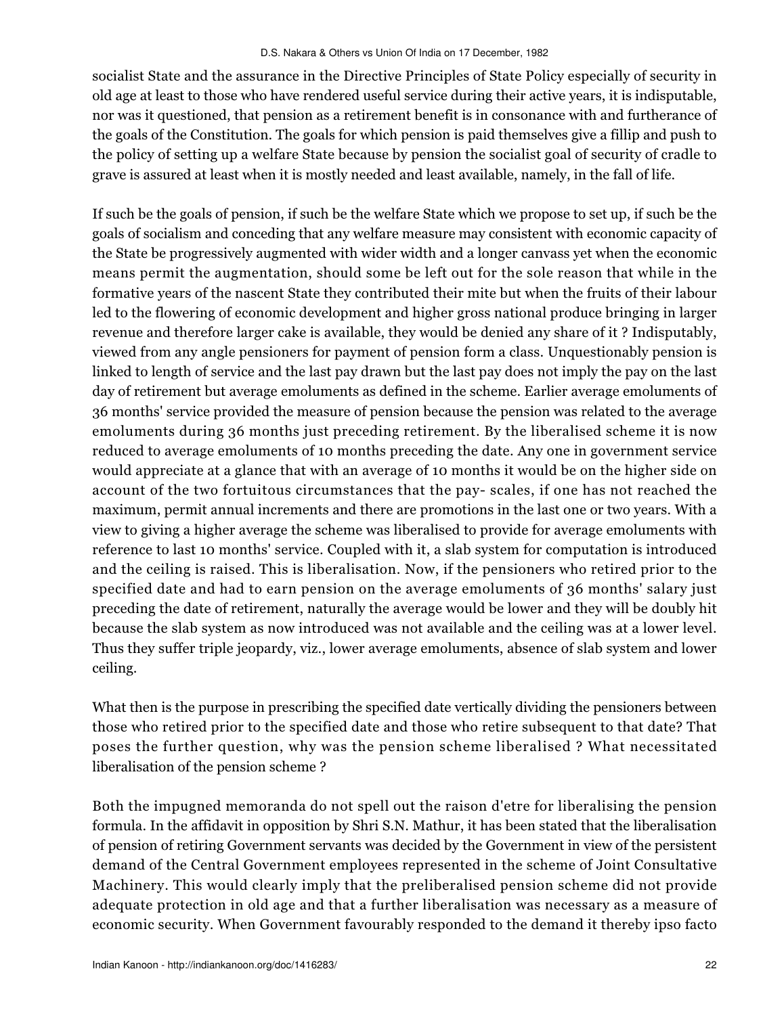socialist State and the assurance in the Directive Principles of State Policy especially of security in old age at least to those who have rendered useful service during their active years, it is indisputable, nor was it questioned, that pension as a retirement benefit is in consonance with and furtherance of the goals of the Constitution. The goals for which pension is paid themselves give a fillip and push to the policy of setting up a welfare State because by pension the socialist goal of security of cradle to grave is assured at least when it is mostly needed and least available, namely, in the fall of life.

If such be the goals of pension, if such be the welfare State which we propose to set up, if such be the goals of socialism and conceding that any welfare measure may consistent with economic capacity of the State be progressively augmented with wider width and a longer canvass yet when the economic means permit the augmentation, should some be left out for the sole reason that while in the formative years of the nascent State they contributed their mite but when the fruits of their labour led to the flowering of economic development and higher gross national produce bringing in larger revenue and therefore larger cake is available, they would be denied any share of it ? Indisputably, viewed from any angle pensioners for payment of pension form a class. Unquestionably pension is linked to length of service and the last pay drawn but the last pay does not imply the pay on the last day of retirement but average emoluments as defined in the scheme. Earlier average emoluments of 36 months' service provided the measure of pension because the pension was related to the average emoluments during 36 months just preceding retirement. By the liberalised scheme it is now reduced to average emoluments of 10 months preceding the date. Any one in government service would appreciate at a glance that with an average of 10 months it would be on the higher side on account of the two fortuitous circumstances that the pay- scales, if one has not reached the maximum, permit annual increments and there are promotions in the last one or two years. With a view to giving a higher average the scheme was liberalised to provide for average emoluments with reference to last 10 months' service. Coupled with it, a slab system for computation is introduced and the ceiling is raised. This is liberalisation. Now, if the pensioners who retired prior to the specified date and had to earn pension on the average emoluments of 36 months' salary just preceding the date of retirement, naturally the average would be lower and they will be doubly hit because the slab system as now introduced was not available and the ceiling was at a lower level. Thus they suffer triple jeopardy, viz., lower average emoluments, absence of slab system and lower ceiling.

What then is the purpose in prescribing the specified date vertically dividing the pensioners between those who retired prior to the specified date and those who retire subsequent to that date? That poses the further question, why was the pension scheme liberalised ? What necessitated liberalisation of the pension scheme ?

Both the impugned memoranda do not spell out the raison d'etre for liberalising the pension formula. In the affidavit in opposition by Shri S.N. Mathur, it has been stated that the liberalisation of pension of retiring Government servants was decided by the Government in view of the persistent demand of the Central Government employees represented in the scheme of Joint Consultative Machinery. This would clearly imply that the preliberalised pension scheme did not provide adequate protection in old age and that a further liberalisation was necessary as a measure of economic security. When Government favourably responded to the demand it thereby ipso facto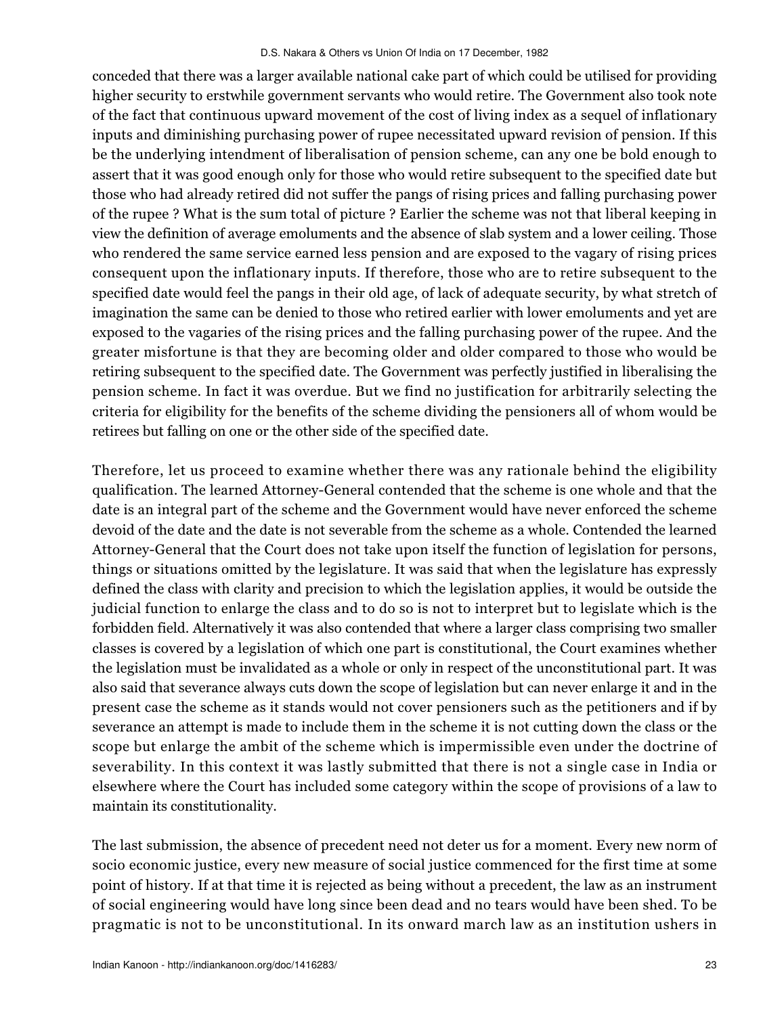conceded that there was a larger available national cake part of which could be utilised for providing higher security to erstwhile government servants who would retire. The Government also took note of the fact that continuous upward movement of the cost of living index as a sequel of inflationary inputs and diminishing purchasing power of rupee necessitated upward revision of pension. If this be the underlying intendment of liberalisation of pension scheme, can any one be bold enough to assert that it was good enough only for those who would retire subsequent to the specified date but those who had already retired did not suffer the pangs of rising prices and falling purchasing power of the rupee ? What is the sum total of picture ? Earlier the scheme was not that liberal keeping in view the definition of average emoluments and the absence of slab system and a lower ceiling. Those who rendered the same service earned less pension and are exposed to the vagary of rising prices consequent upon the inflationary inputs. If therefore, those who are to retire subsequent to the specified date would feel the pangs in their old age, of lack of adequate security, by what stretch of imagination the same can be denied to those who retired earlier with lower emoluments and yet are exposed to the vagaries of the rising prices and the falling purchasing power of the rupee. And the greater misfortune is that they are becoming older and older compared to those who would be retiring subsequent to the specified date. The Government was perfectly justified in liberalising the pension scheme. In fact it was overdue. But we find no justification for arbitrarily selecting the criteria for eligibility for the benefits of the scheme dividing the pensioners all of whom would be retirees but falling on one or the other side of the specified date.

Therefore, let us proceed to examine whether there was any rationale behind the eligibility qualification. The learned Attorney-General contended that the scheme is one whole and that the date is an integral part of the scheme and the Government would have never enforced the scheme devoid of the date and the date is not severable from the scheme as a whole. Contended the learned Attorney-General that the Court does not take upon itself the function of legislation for persons, things or situations omitted by the legislature. It was said that when the legislature has expressly defined the class with clarity and precision to which the legislation applies, it would be outside the judicial function to enlarge the class and to do so is not to interpret but to legislate which is the forbidden field. Alternatively it was also contended that where a larger class comprising two smaller classes is covered by a legislation of which one part is constitutional, the Court examines whether the legislation must be invalidated as a whole or only in respect of the unconstitutional part. It was also said that severance always cuts down the scope of legislation but can never enlarge it and in the present case the scheme as it stands would not cover pensioners such as the petitioners and if by severance an attempt is made to include them in the scheme it is not cutting down the class or the scope but enlarge the ambit of the scheme which is impermissible even under the doctrine of severability. In this context it was lastly submitted that there is not a single case in India or elsewhere where the Court has included some category within the scope of provisions of a law to maintain its constitutionality.

The last submission, the absence of precedent need not deter us for a moment. Every new norm of socio economic justice, every new measure of social justice commenced for the first time at some point of history. If at that time it is rejected as being without a precedent, the law as an instrument of social engineering would have long since been dead and no tears would have been shed. To be pragmatic is not to be unconstitutional. In its onward march law as an institution ushers in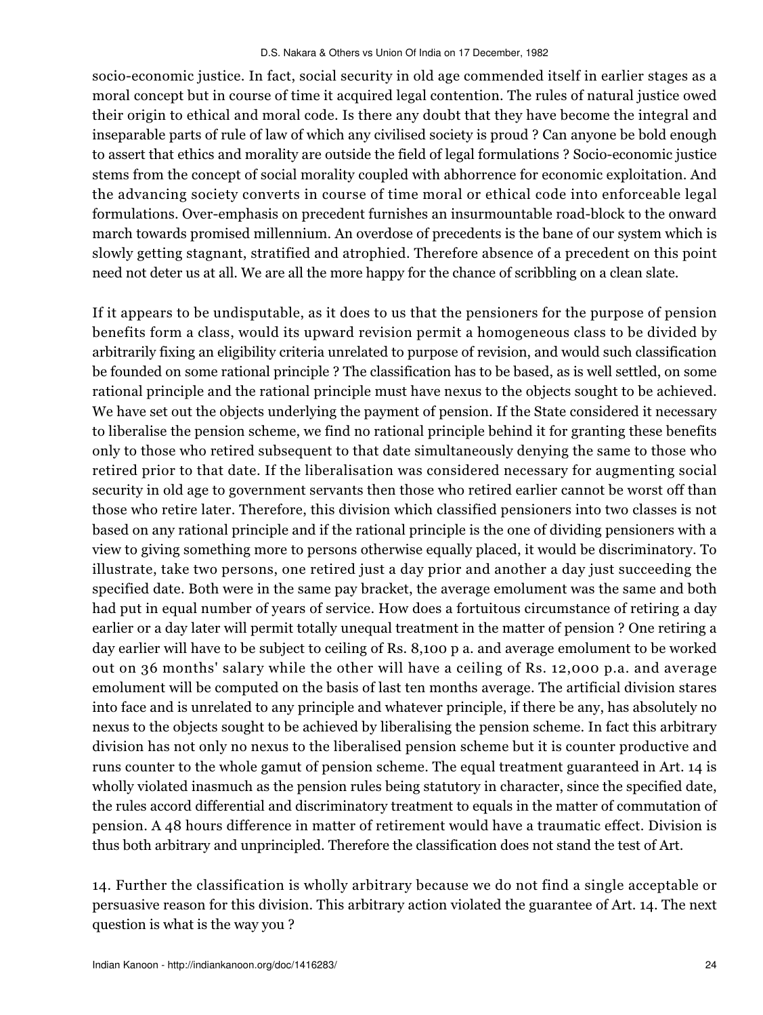socio-economic justice. In fact, social security in old age commended itself in earlier stages as a moral concept but in course of time it acquired legal contention. The rules of natural justice owed their origin to ethical and moral code. Is there any doubt that they have become the integral and inseparable parts of rule of law of which any civilised society is proud ? Can anyone be bold enough to assert that ethics and morality are outside the field of legal formulations ? Socio-economic justice stems from the concept of social morality coupled with abhorrence for economic exploitation. And the advancing society converts in course of time moral or ethical code into enforceable legal formulations. Over-emphasis on precedent furnishes an insurmountable road-block to the onward march towards promised millennium. An overdose of precedents is the bane of our system which is slowly getting stagnant, stratified and atrophied. Therefore absence of a precedent on this point need not deter us at all. We are all the more happy for the chance of scribbling on a clean slate.

If it appears to be undisputable, as it does to us that the pensioners for the purpose of pension benefits form a class, would its upward revision permit a homogeneous class to be divided by arbitrarily fixing an eligibility criteria unrelated to purpose of revision, and would such classification be founded on some rational principle ? The classification has to be based, as is well settled, on some rational principle and the rational principle must have nexus to the objects sought to be achieved. We have set out the objects underlying the payment of pension. If the State considered it necessary to liberalise the pension scheme, we find no rational principle behind it for granting these benefits only to those who retired subsequent to that date simultaneously denying the same to those who retired prior to that date. If the liberalisation was considered necessary for augmenting social security in old age to government servants then those who retired earlier cannot be worst off than those who retire later. Therefore, this division which classified pensioners into two classes is not based on any rational principle and if the rational principle is the one of dividing pensioners with a view to giving something more to persons otherwise equally placed, it would be discriminatory. To illustrate, take two persons, one retired just a day prior and another a day just succeeding the specified date. Both were in the same pay bracket, the average emolument was the same and both had put in equal number of years of service. How does a fortuitous circumstance of retiring a day earlier or a day later will permit totally unequal treatment in the matter of pension ? One retiring a day earlier will have to be subject to ceiling of Rs. 8,100 p a. and average emolument to be worked out on 36 months' salary while the other will have a ceiling of Rs. 12,000 p.a. and average emolument will be computed on the basis of last ten months average. The artificial division stares into face and is unrelated to any principle and whatever principle, if there be any, has absolutely no nexus to the objects sought to be achieved by liberalising the pension scheme. In fact this arbitrary division has not only no nexus to the liberalised pension scheme but it is counter productive and runs counter to the whole gamut of pension scheme. The equal treatment guaranteed in Art. 14 is wholly violated inasmuch as the pension rules being statutory in character, since the specified date, the rules accord differential and discriminatory treatment to equals in the matter of commutation of pension. A 48 hours difference in matter of retirement would have a traumatic effect. Division is thus both arbitrary and unprincipled. Therefore the classification does not stand the test of Art.

14. Further the classification is wholly arbitrary because we do not find a single acceptable or persuasive reason for this division. This arbitrary action violated the guarantee of Art. 14. The next question is what is the way you ?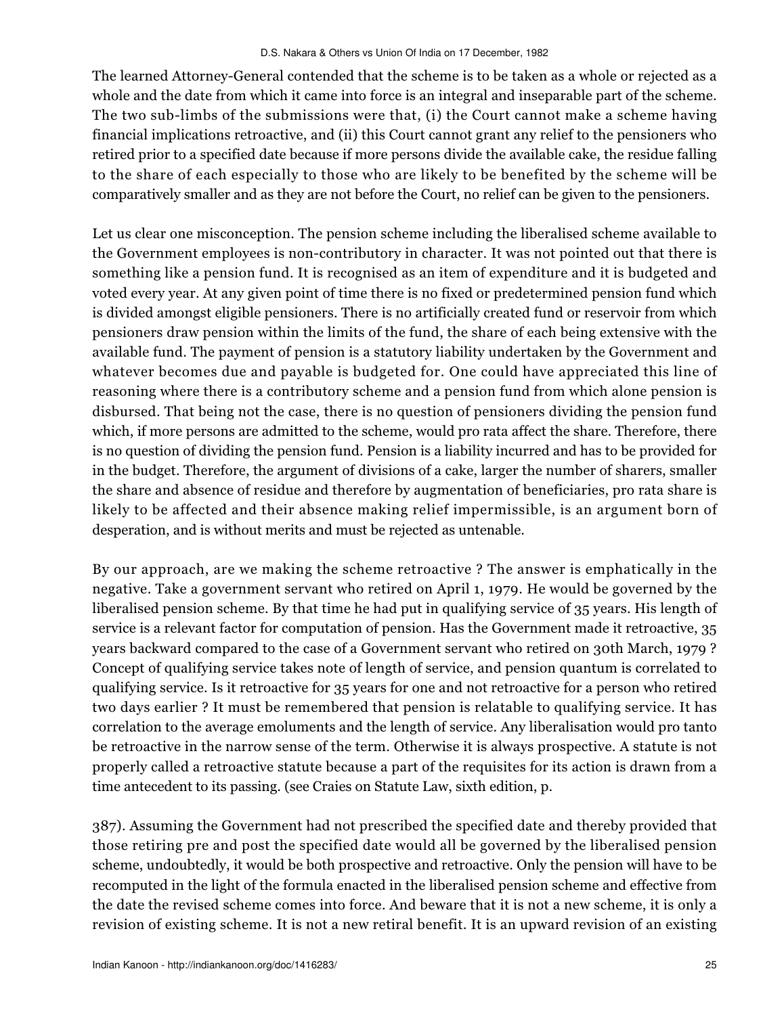The learned Attorney-General contended that the scheme is to be taken as a whole or rejected as a whole and the date from which it came into force is an integral and inseparable part of the scheme. The two sub-limbs of the submissions were that, (i) the Court cannot make a scheme having financial implications retroactive, and (ii) this Court cannot grant any relief to the pensioners who retired prior to a specified date because if more persons divide the available cake, the residue falling to the share of each especially to those who are likely to be benefited by the scheme will be comparatively smaller and as they are not before the Court, no relief can be given to the pensioners.

Let us clear one misconception. The pension scheme including the liberalised scheme available to the Government employees is non-contributory in character. It was not pointed out that there is something like a pension fund. It is recognised as an item of expenditure and it is budgeted and voted every year. At any given point of time there is no fixed or predetermined pension fund which is divided amongst eligible pensioners. There is no artificially created fund or reservoir from which pensioners draw pension within the limits of the fund, the share of each being extensive with the available fund. The payment of pension is a statutory liability undertaken by the Government and whatever becomes due and payable is budgeted for. One could have appreciated this line of reasoning where there is a contributory scheme and a pension fund from which alone pension is disbursed. That being not the case, there is no question of pensioners dividing the pension fund which, if more persons are admitted to the scheme, would pro rata affect the share. Therefore, there is no question of dividing the pension fund. Pension is a liability incurred and has to be provided for in the budget. Therefore, the argument of divisions of a cake, larger the number of sharers, smaller the share and absence of residue and therefore by augmentation of beneficiaries, pro rata share is likely to be affected and their absence making relief impermissible, is an argument born of desperation, and is without merits and must be rejected as untenable.

By our approach, are we making the scheme retroactive ? The answer is emphatically in the negative. Take a government servant who retired on April 1, 1979. He would be governed by the liberalised pension scheme. By that time he had put in qualifying service of 35 years. His length of service is a relevant factor for computation of pension. Has the Government made it retroactive, 35 years backward compared to the case of a Government servant who retired on 30th March, 1979 ? Concept of qualifying service takes note of length of service, and pension quantum is correlated to qualifying service. Is it retroactive for 35 years for one and not retroactive for a person who retired two days earlier ? It must be remembered that pension is relatable to qualifying service. It has correlation to the average emoluments and the length of service. Any liberalisation would pro tanto be retroactive in the narrow sense of the term. Otherwise it is always prospective. A statute is not properly called a retroactive statute because a part of the requisites for its action is drawn from a time antecedent to its passing. (see Craies on Statute Law, sixth edition, p.

387). Assuming the Government had not prescribed the specified date and thereby provided that those retiring pre and post the specified date would all be governed by the liberalised pension scheme, undoubtedly, it would be both prospective and retroactive. Only the pension will have to be recomputed in the light of the formula enacted in the liberalised pension scheme and effective from the date the revised scheme comes into force. And beware that it is not a new scheme, it is only a revision of existing scheme. It is not a new retiral benefit. It is an upward revision of an existing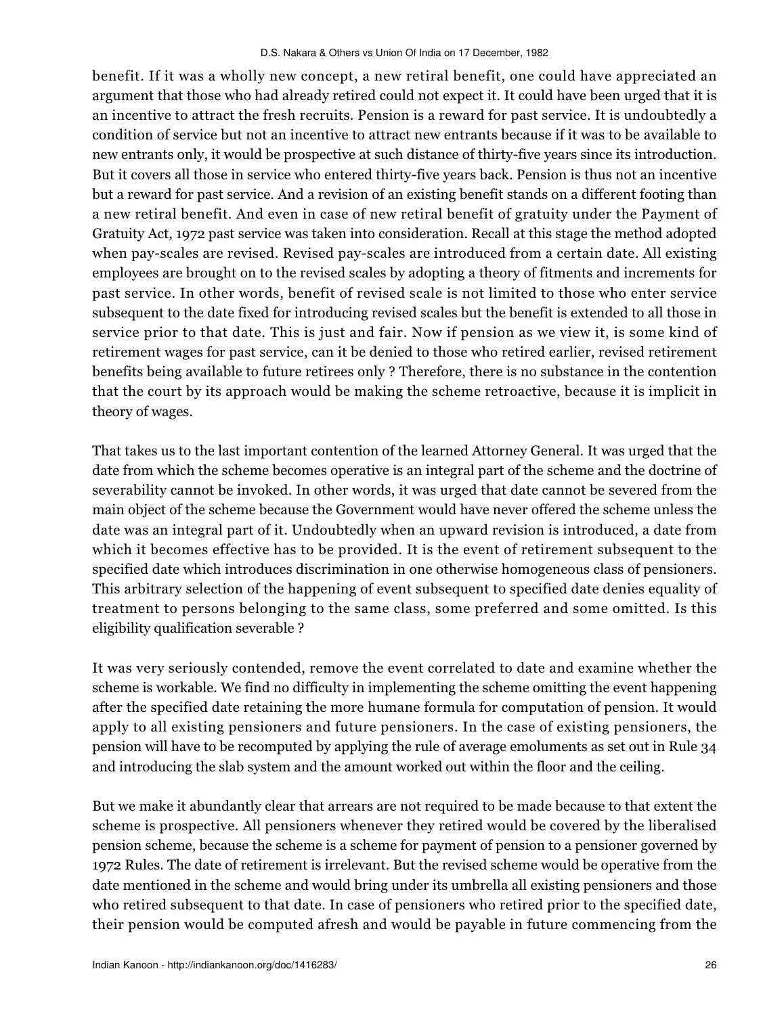benefit. If it was a wholly new concept, a new retiral benefit, one could have appreciated an argument that those who had already retired could not expect it. It could have been urged that it is an incentive to attract the fresh recruits. Pension is a reward for past service. It is undoubtedly a condition of service but not an incentive to attract new entrants because if it was to be available to new entrants only, it would be prospective at such distance of thirty-five years since its introduction. But it covers all those in service who entered thirty-five years back. Pension is thus not an incentive but a reward for past service. And a revision of an existing benefit stands on a different footing than a new retiral benefit. And even in case of new retiral benefit of gratuity under the Payment of Gratuity Act, 1972 past service was taken into consideration. Recall at this stage the method adopted when pay-scales are revised. Revised pay-scales are introduced from a certain date. All existing employees are brought on to the revised scales by adopting a theory of fitments and increments for past service. In other words, benefit of revised scale is not limited to those who enter service subsequent to the date fixed for introducing revised scales but the benefit is extended to all those in service prior to that date. This is just and fair. Now if pension as we view it, is some kind of retirement wages for past service, can it be denied to those who retired earlier, revised retirement benefits being available to future retirees only ? Therefore, there is no substance in the contention that the court by its approach would be making the scheme retroactive, because it is implicit in theory of wages.

That takes us to the last important contention of the learned Attorney General. It was urged that the date from which the scheme becomes operative is an integral part of the scheme and the doctrine of severability cannot be invoked. In other words, it was urged that date cannot be severed from the main object of the scheme because the Government would have never offered the scheme unless the date was an integral part of it. Undoubtedly when an upward revision is introduced, a date from which it becomes effective has to be provided. It is the event of retirement subsequent to the specified date which introduces discrimination in one otherwise homogeneous class of pensioners. This arbitrary selection of the happening of event subsequent to specified date denies equality of treatment to persons belonging to the same class, some preferred and some omitted. Is this eligibility qualification severable ?

It was very seriously contended, remove the event correlated to date and examine whether the scheme is workable. We find no difficulty in implementing the scheme omitting the event happening after the specified date retaining the more humane formula for computation of pension. It would apply to all existing pensioners and future pensioners. In the case of existing pensioners, the pension will have to be recomputed by applying the rule of average emoluments as set out in Rule 34 and introducing the slab system and the amount worked out within the floor and the ceiling.

But we make it abundantly clear that arrears are not required to be made because to that extent the scheme is prospective. All pensioners whenever they retired would be covered by the liberalised pension scheme, because the scheme is a scheme for payment of pension to a pensioner governed by 1972 Rules. The date of retirement is irrelevant. But the revised scheme would be operative from the date mentioned in the scheme and would bring under its umbrella all existing pensioners and those who retired subsequent to that date. In case of pensioners who retired prior to the specified date, their pension would be computed afresh and would be payable in future commencing from the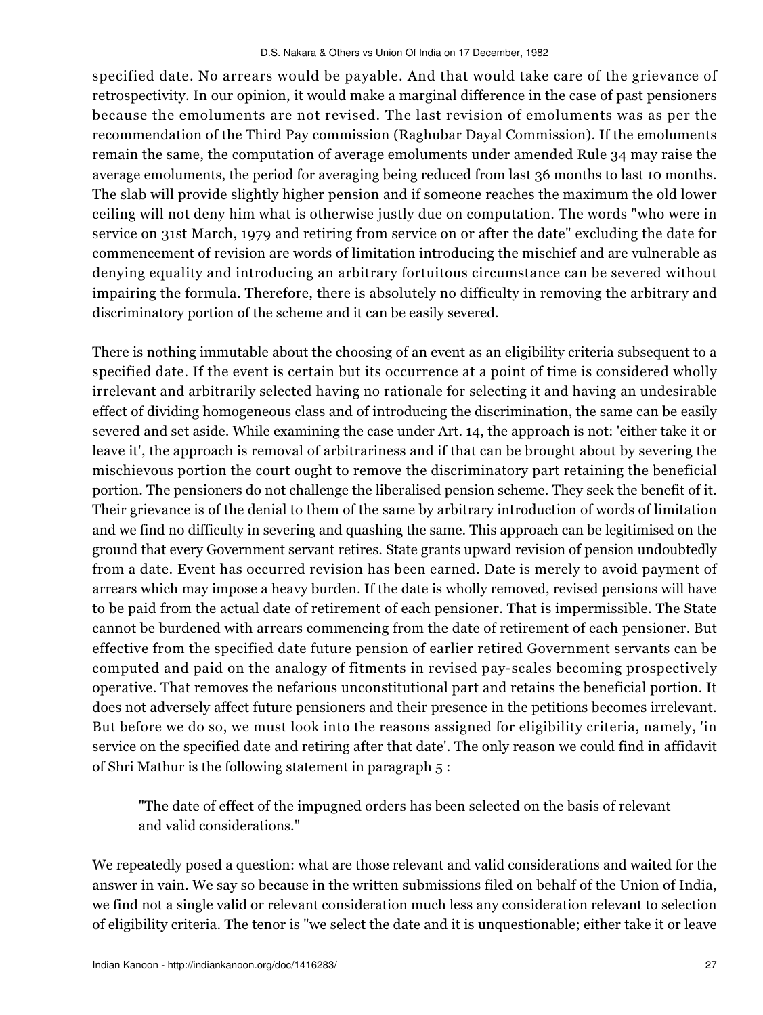specified date. No arrears would be payable. And that would take care of the grievance of retrospectivity. In our opinion, it would make a marginal difference in the case of past pensioners because the emoluments are not revised. The last revision of emoluments was as per the recommendation of the Third Pay commission (Raghubar Dayal Commission). If the emoluments remain the same, the computation of average emoluments under amended Rule 34 may raise the average emoluments, the period for averaging being reduced from last 36 months to last 10 months. The slab will provide slightly higher pension and if someone reaches the maximum the old lower ceiling will not deny him what is otherwise justly due on computation. The words "who were in service on 31st March, 1979 and retiring from service on or after the date" excluding the date for commencement of revision are words of limitation introducing the mischief and are vulnerable as denying equality and introducing an arbitrary fortuitous circumstance can be severed without impairing the formula. Therefore, there is absolutely no difficulty in removing the arbitrary and discriminatory portion of the scheme and it can be easily severed.

There is nothing immutable about the choosing of an event as an eligibility criteria subsequent to a specified date. If the event is certain but its occurrence at a point of time is considered wholly irrelevant and arbitrarily selected having no rationale for selecting it and having an undesirable effect of dividing homogeneous class and of introducing the discrimination, the same can be easily severed and set aside. While examining the case under Art. 14, the approach is not: 'either take it or leave it', the approach is removal of arbitrariness and if that can be brought about by severing the mischievous portion the court ought to remove the discriminatory part retaining the beneficial portion. The pensioners do not challenge the liberalised pension scheme. They seek the benefit of it. Their grievance is of the denial to them of the same by arbitrary introduction of words of limitation and we find no difficulty in severing and quashing the same. This approach can be legitimised on the ground that every Government servant retires. State grants upward revision of pension undoubtedly from a date. Event has occurred revision has been earned. Date is merely to avoid payment of arrears which may impose a heavy burden. If the date is wholly removed, revised pensions will have to be paid from the actual date of retirement of each pensioner. That is impermissible. The State cannot be burdened with arrears commencing from the date of retirement of each pensioner. But effective from the specified date future pension of earlier retired Government servants can be computed and paid on the analogy of fitments in revised pay-scales becoming prospectively operative. That removes the nefarious unconstitutional part and retains the beneficial portion. It does not adversely affect future pensioners and their presence in the petitions becomes irrelevant. But before we do so, we must look into the reasons assigned for eligibility criteria, namely, 'in service on the specified date and retiring after that date'. The only reason we could find in affidavit of Shri Mathur is the following statement in paragraph 5 :

"The date of effect of the impugned orders has been selected on the basis of relevant and valid considerations."

We repeatedly posed a question: what are those relevant and valid considerations and waited for the answer in vain. We say so because in the written submissions filed on behalf of the Union of India, we find not a single valid or relevant consideration much less any consideration relevant to selection of eligibility criteria. The tenor is "we select the date and it is unquestionable; either take it or leave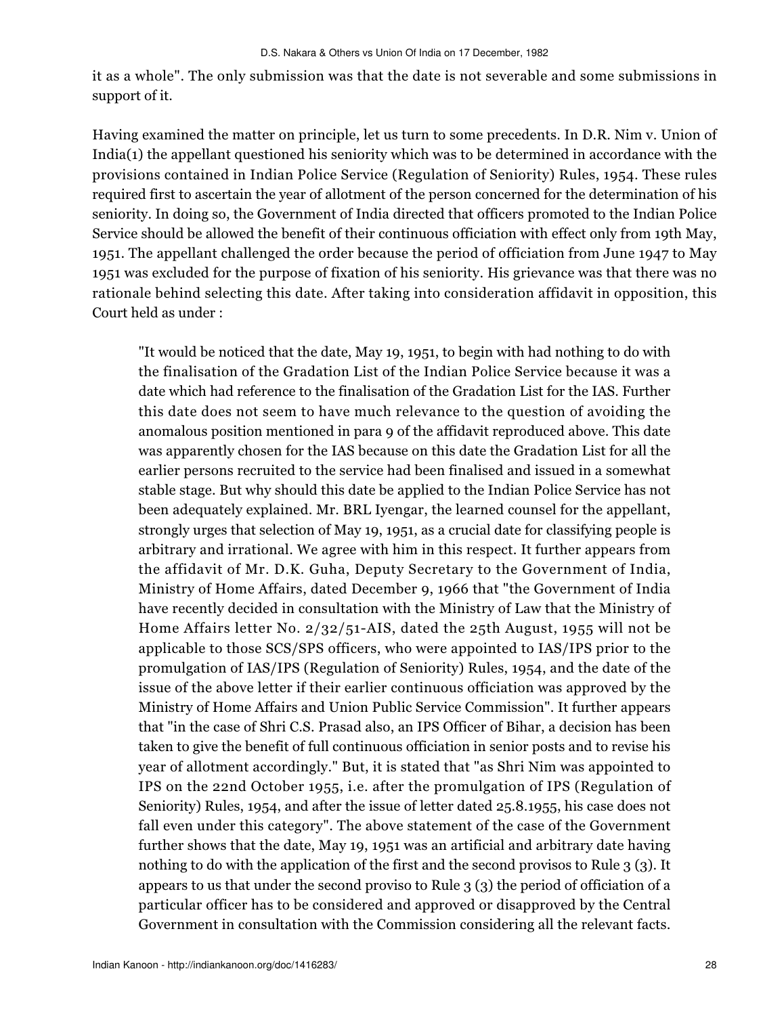it as a whole". The only submission was that the date is not severable and some submissions in support of it.

Having examined the matter on principle, let us turn to some precedents. In D.R. Nim v. Union of India(1) the appellant questioned his seniority which was to be determined in accordance with the provisions contained in Indian Police Service (Regulation of Seniority) Rules, 1954. These rules required first to ascertain the year of allotment of the person concerned for the determination of his seniority. In doing so, the Government of India directed that officers promoted to the Indian Police Service should be allowed the benefit of their continuous officiation with effect only from 19th May, 1951. The appellant challenged the order because the period of officiation from June 1947 to May 1951 was excluded for the purpose of fixation of his seniority. His grievance was that there was no rationale behind selecting this date. After taking into consideration affidavit in opposition, this Court held as under :

"It would be noticed that the date, May 19, 1951, to begin with had nothing to do with the finalisation of the Gradation List of the Indian Police Service because it was a date which had reference to the finalisation of the Gradation List for the IAS. Further this date does not seem to have much relevance to the question of avoiding the anomalous position mentioned in para 9 of the affidavit reproduced above. This date was apparently chosen for the IAS because on this date the Gradation List for all the earlier persons recruited to the service had been finalised and issued in a somewhat stable stage. But why should this date be applied to the Indian Police Service has not been adequately explained. Mr. BRL Iyengar, the learned counsel for the appellant, strongly urges that selection of May 19, 1951, as a crucial date for classifying people is arbitrary and irrational. We agree with him in this respect. It further appears from the affidavit of Mr. D.K. Guha, Deputy Secretary to the Government of India, Ministry of Home Affairs, dated December 9, 1966 that "the Government of India have recently decided in consultation with the Ministry of Law that the Ministry of Home Affairs letter No. 2/32/51-AIS, dated the 25th August, 1955 will not be applicable to those SCS/SPS officers, who were appointed to IAS/IPS prior to the promulgation of IAS/IPS (Regulation of Seniority) Rules, 1954, and the date of the issue of the above letter if their earlier continuous officiation was approved by the Ministry of Home Affairs and Union Public Service Commission". It further appears that "in the case of Shri C.S. Prasad also, an IPS Officer of Bihar, a decision has been taken to give the benefit of full continuous officiation in senior posts and to revise his year of allotment accordingly." But, it is stated that "as Shri Nim was appointed to IPS on the 22nd October 1955, i.e. after the promulgation of IPS (Regulation of Seniority) Rules, 1954, and after the issue of letter dated 25.8.1955, his case does not fall even under this category". The above statement of the case of the Government further shows that the date, May 19, 1951 was an artificial and arbitrary date having nothing to do with the application of the first and the second provisos to Rule 3 (3). It appears to us that under the second proviso to Rule 3 (3) the period of officiation of a particular officer has to be considered and approved or disapproved by the Central Government in consultation with the Commission considering all the relevant facts.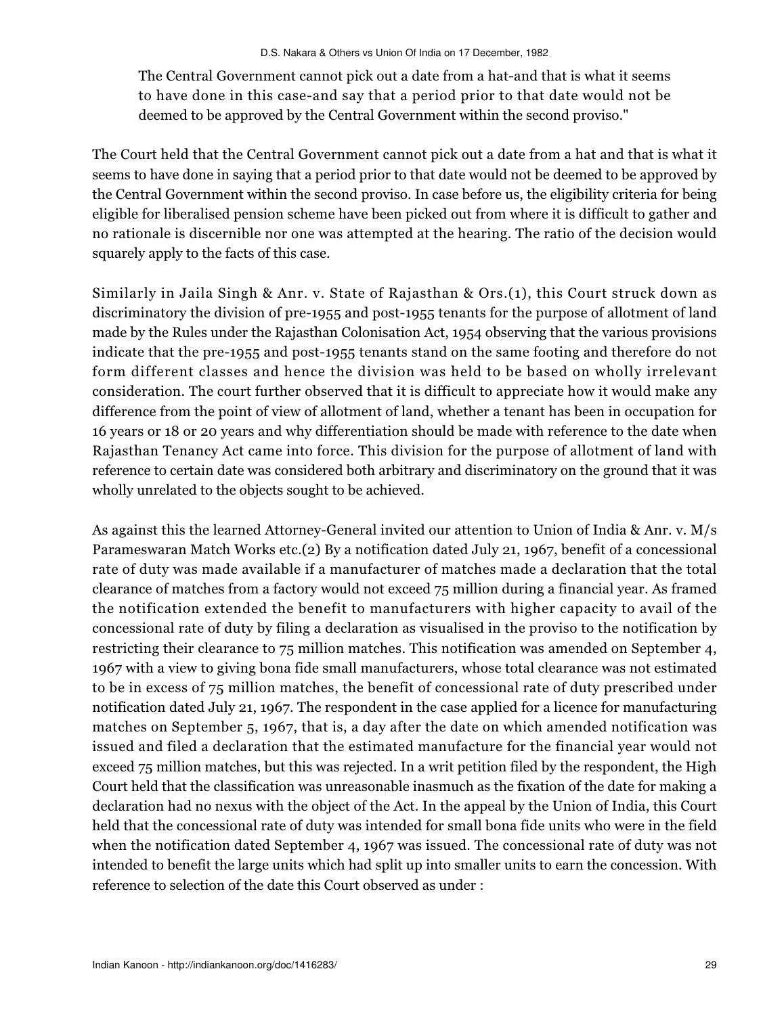The Central Government cannot pick out a date from a hat-and that is what it seems to have done in this case-and say that a period prior to that date would not be deemed to be approved by the Central Government within the second proviso."

The Court held that the Central Government cannot pick out a date from a hat and that is what it seems to have done in saying that a period prior to that date would not be deemed to be approved by the Central Government within the second proviso. In case before us, the eligibility criteria for being eligible for liberalised pension scheme have been picked out from where it is difficult to gather and no rationale is discernible nor one was attempted at the hearing. The ratio of the decision would squarely apply to the facts of this case.

Similarly in Jaila Singh & Anr. v. State of Rajasthan & Ors.(1), this Court struck down as discriminatory the division of pre-1955 and post-1955 tenants for the purpose of allotment of land made by the Rules under the Rajasthan Colonisation Act, 1954 observing that the various provisions indicate that the pre-1955 and post-1955 tenants stand on the same footing and therefore do not form different classes and hence the division was held to be based on wholly irrelevant consideration. The court further observed that it is difficult to appreciate how it would make any difference from the point of view of allotment of land, whether a tenant has been in occupation for 16 years or 18 or 20 years and why differentiation should be made with reference to the date when Rajasthan Tenancy Act came into force. This division for the purpose of allotment of land with reference to certain date was considered both arbitrary and discriminatory on the ground that it was wholly unrelated to the objects sought to be achieved.

As against this the learned Attorney-General invited our attention to Union of India & Anr. v. M/s Parameswaran Match Works etc.(2) By a notification dated July 21, 1967, benefit of a concessional rate of duty was made available if a manufacturer of matches made a declaration that the total clearance of matches from a factory would not exceed 75 million during a financial year. As framed the notification extended the benefit to manufacturers with higher capacity to avail of the concessional rate of duty by filing a declaration as visualised in the proviso to the notification by restricting their clearance to 75 million matches. This notification was amended on September 4, 1967 with a view to giving bona fide small manufacturers, whose total clearance was not estimated to be in excess of 75 million matches, the benefit of concessional rate of duty prescribed under notification dated July 21, 1967. The respondent in the case applied for a licence for manufacturing matches on September 5, 1967, that is, a day after the date on which amended notification was issued and filed a declaration that the estimated manufacture for the financial year would not exceed 75 million matches, but this was rejected. In a writ petition filed by the respondent, the High Court held that the classification was unreasonable inasmuch as the fixation of the date for making a declaration had no nexus with the object of the Act. In the appeal by the Union of India, this Court held that the concessional rate of duty was intended for small bona fide units who were in the field when the notification dated September 4, 1967 was issued. The concessional rate of duty was not intended to benefit the large units which had split up into smaller units to earn the concession. With reference to selection of the date this Court observed as under :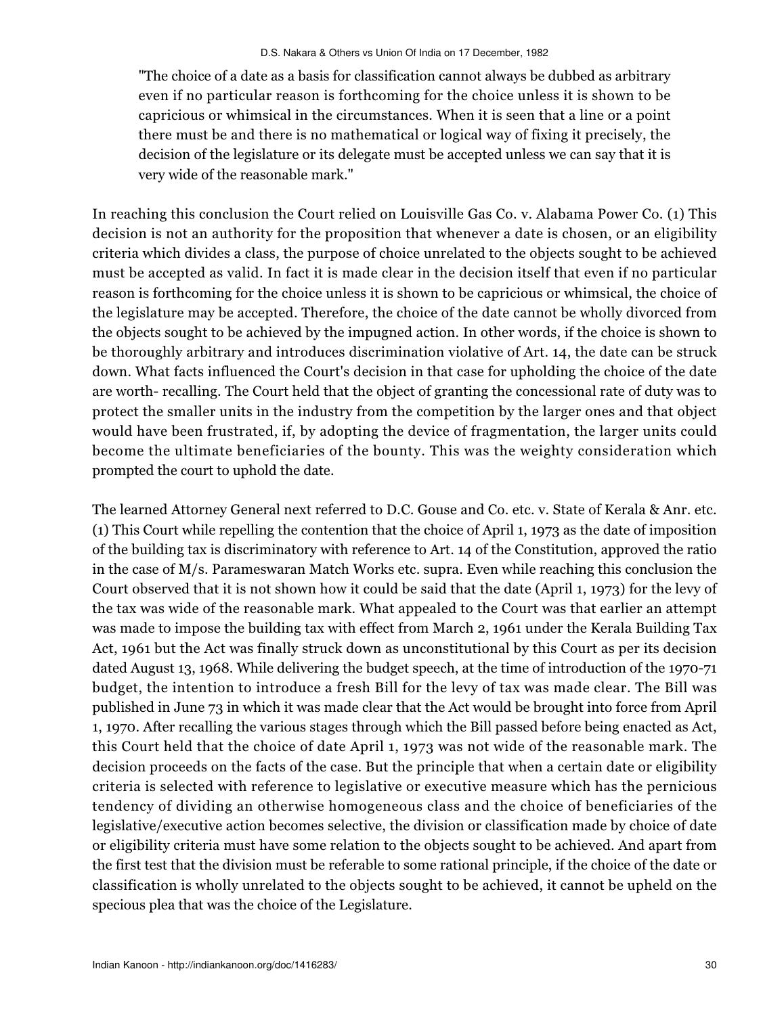"The choice of a date as a basis for classification cannot always be dubbed as arbitrary even if no particular reason is forthcoming for the choice unless it is shown to be capricious or whimsical in the circumstances. When it is seen that a line or a point there must be and there is no mathematical or logical way of fixing it precisely, the decision of the legislature or its delegate must be accepted unless we can say that it is very wide of the reasonable mark."

In reaching this conclusion the Court relied on Louisville Gas Co. v. Alabama Power Co. (1) This decision is not an authority for the proposition that whenever a date is chosen, or an eligibility criteria which divides a class, the purpose of choice unrelated to the objects sought to be achieved must be accepted as valid. In fact it is made clear in the decision itself that even if no particular reason is forthcoming for the choice unless it is shown to be capricious or whimsical, the choice of the legislature may be accepted. Therefore, the choice of the date cannot be wholly divorced from the objects sought to be achieved by the impugned action. In other words, if the choice is shown to be thoroughly arbitrary and introduces discrimination violative of Art. 14, the date can be struck down. What facts influenced the Court's decision in that case for upholding the choice of the date are worth- recalling. The Court held that the object of granting the concessional rate of duty was to protect the smaller units in the industry from the competition by the larger ones and that object would have been frustrated, if, by adopting the device of fragmentation, the larger units could become the ultimate beneficiaries of the bounty. This was the weighty consideration which prompted the court to uphold the date.

The learned Attorney General next referred to D.C. Gouse and Co. etc. v. State of Kerala & Anr. etc. (1) This Court while repelling the contention that the choice of April 1, 1973 as the date of imposition of the building tax is discriminatory with reference to Art. 14 of the Constitution, approved the ratio in the case of M/s. Parameswaran Match Works etc. supra. Even while reaching this conclusion the Court observed that it is not shown how it could be said that the date (April 1, 1973) for the levy of the tax was wide of the reasonable mark. What appealed to the Court was that earlier an attempt was made to impose the building tax with effect from March 2, 1961 under the Kerala Building Tax Act, 1961 but the Act was finally struck down as unconstitutional by this Court as per its decision dated August 13, 1968. While delivering the budget speech, at the time of introduction of the 1970-71 budget, the intention to introduce a fresh Bill for the levy of tax was made clear. The Bill was published in June 73 in which it was made clear that the Act would be brought into force from April 1, 1970. After recalling the various stages through which the Bill passed before being enacted as Act, this Court held that the choice of date April 1, 1973 was not wide of the reasonable mark. The decision proceeds on the facts of the case. But the principle that when a certain date or eligibility criteria is selected with reference to legislative or executive measure which has the pernicious tendency of dividing an otherwise homogeneous class and the choice of beneficiaries of the legislative/executive action becomes selective, the division or classification made by choice of date or eligibility criteria must have some relation to the objects sought to be achieved. And apart from the first test that the division must be referable to some rational principle, if the choice of the date or classification is wholly unrelated to the objects sought to be achieved, it cannot be upheld on the specious plea that was the choice of the Legislature.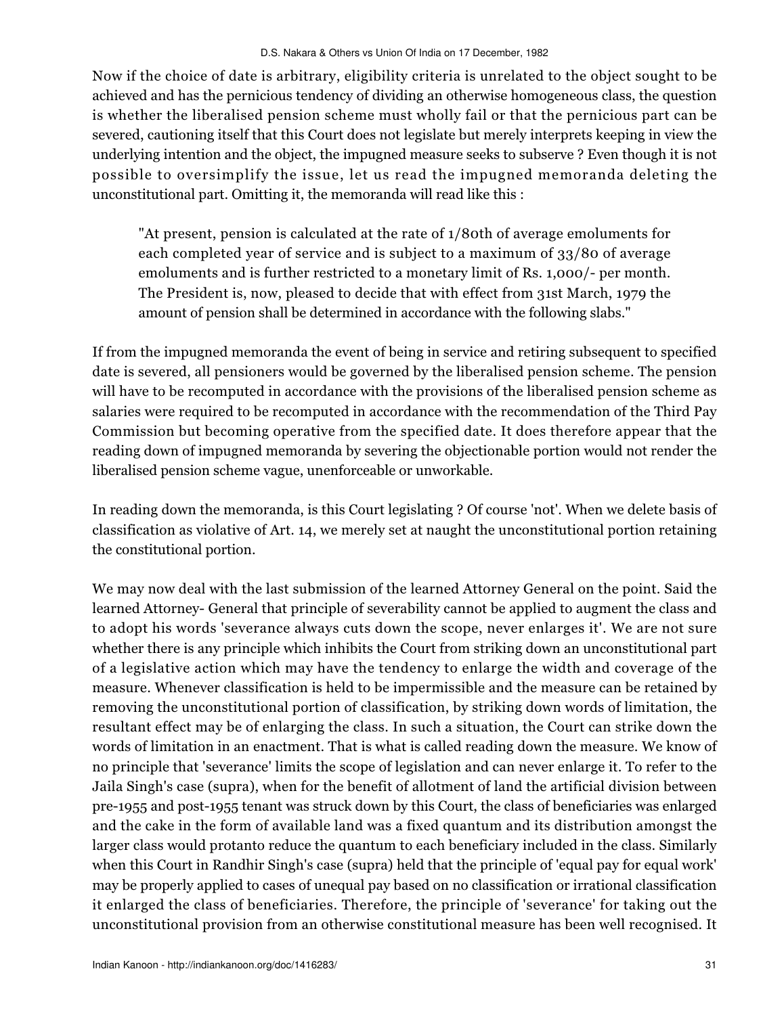Now if the choice of date is arbitrary, eligibility criteria is unrelated to the object sought to be achieved and has the pernicious tendency of dividing an otherwise homogeneous class, the question is whether the liberalised pension scheme must wholly fail or that the pernicious part can be severed, cautioning itself that this Court does not legislate but merely interprets keeping in view the underlying intention and the object, the impugned measure seeks to subserve ? Even though it is not possible to oversimplify the issue, let us read the impugned memoranda deleting the unconstitutional part. Omitting it, the memoranda will read like this :

"At present, pension is calculated at the rate of 1/80th of average emoluments for each completed year of service and is subject to a maximum of 33/80 of average emoluments and is further restricted to a monetary limit of Rs. 1,000/- per month. The President is, now, pleased to decide that with effect from 31st March, 1979 the amount of pension shall be determined in accordance with the following slabs."

If from the impugned memoranda the event of being in service and retiring subsequent to specified date is severed, all pensioners would be governed by the liberalised pension scheme. The pension will have to be recomputed in accordance with the provisions of the liberalised pension scheme as salaries were required to be recomputed in accordance with the recommendation of the Third Pay Commission but becoming operative from the specified date. It does therefore appear that the reading down of impugned memoranda by severing the objectionable portion would not render the liberalised pension scheme vague, unenforceable or unworkable.

In reading down the memoranda, is this Court legislating ? Of course 'not'. When we delete basis of classification as violative of Art. 14, we merely set at naught the unconstitutional portion retaining the constitutional portion.

We may now deal with the last submission of the learned Attorney General on the point. Said the learned Attorney- General that principle of severability cannot be applied to augment the class and to adopt his words 'severance always cuts down the scope, never enlarges it'. We are not sure whether there is any principle which inhibits the Court from striking down an unconstitutional part of a legislative action which may have the tendency to enlarge the width and coverage of the measure. Whenever classification is held to be impermissible and the measure can be retained by removing the unconstitutional portion of classification, by striking down words of limitation, the resultant effect may be of enlarging the class. In such a situation, the Court can strike down the words of limitation in an enactment. That is what is called reading down the measure. We know of no principle that 'severance' limits the scope of legislation and can never enlarge it. To refer to the Jaila Singh's case (supra), when for the benefit of allotment of land the artificial division between pre-1955 and post-1955 tenant was struck down by this Court, the class of beneficiaries was enlarged and the cake in the form of available land was a fixed quantum and its distribution amongst the larger class would protanto reduce the quantum to each beneficiary included in the class. Similarly when this Court in Randhir Singh's case (supra) held that the principle of 'equal pay for equal work' may be properly applied to cases of unequal pay based on no classification or irrational classification it enlarged the class of beneficiaries. Therefore, the principle of 'severance' for taking out the unconstitutional provision from an otherwise constitutional measure has been well recognised. It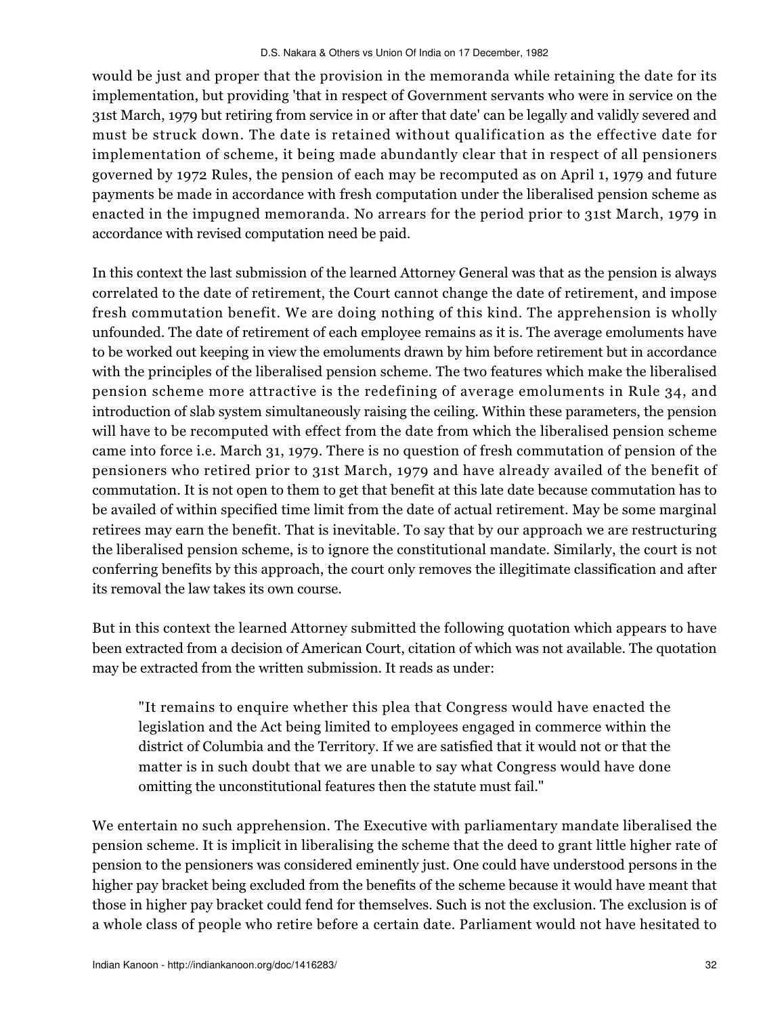would be just and proper that the provision in the memoranda while retaining the date for its implementation, but providing 'that in respect of Government servants who were in service on the 31st March, 1979 but retiring from service in or after that date' can be legally and validly severed and must be struck down. The date is retained without qualification as the effective date for implementation of scheme, it being made abundantly clear that in respect of all pensioners governed by 1972 Rules, the pension of each may be recomputed as on April 1, 1979 and future payments be made in accordance with fresh computation under the liberalised pension scheme as enacted in the impugned memoranda. No arrears for the period prior to 31st March, 1979 in accordance with revised computation need be paid.

In this context the last submission of the learned Attorney General was that as the pension is always correlated to the date of retirement, the Court cannot change the date of retirement, and impose fresh commutation benefit. We are doing nothing of this kind. The apprehension is wholly unfounded. The date of retirement of each employee remains as it is. The average emoluments have to be worked out keeping in view the emoluments drawn by him before retirement but in accordance with the principles of the liberalised pension scheme. The two features which make the liberalised pension scheme more attractive is the redefining of average emoluments in Rule 34, and introduction of slab system simultaneously raising the ceiling. Within these parameters, the pension will have to be recomputed with effect from the date from which the liberalised pension scheme came into force i.e. March 31, 1979. There is no question of fresh commutation of pension of the pensioners who retired prior to 31st March, 1979 and have already availed of the benefit of commutation. It is not open to them to get that benefit at this late date because commutation has to be availed of within specified time limit from the date of actual retirement. May be some marginal retirees may earn the benefit. That is inevitable. To say that by our approach we are restructuring the liberalised pension scheme, is to ignore the constitutional mandate. Similarly, the court is not conferring benefits by this approach, the court only removes the illegitimate classification and after its removal the law takes its own course.

But in this context the learned Attorney submitted the following quotation which appears to have been extracted from a decision of American Court, citation of which was not available. The quotation may be extracted from the written submission. It reads as under:

"It remains to enquire whether this plea that Congress would have enacted the legislation and the Act being limited to employees engaged in commerce within the district of Columbia and the Territory. If we are satisfied that it would not or that the matter is in such doubt that we are unable to say what Congress would have done omitting the unconstitutional features then the statute must fail."

We entertain no such apprehension. The Executive with parliamentary mandate liberalised the pension scheme. It is implicit in liberalising the scheme that the deed to grant little higher rate of pension to the pensioners was considered eminently just. One could have understood persons in the higher pay bracket being excluded from the benefits of the scheme because it would have meant that those in higher pay bracket could fend for themselves. Such is not the exclusion. The exclusion is of a whole class of people who retire before a certain date. Parliament would not have hesitated to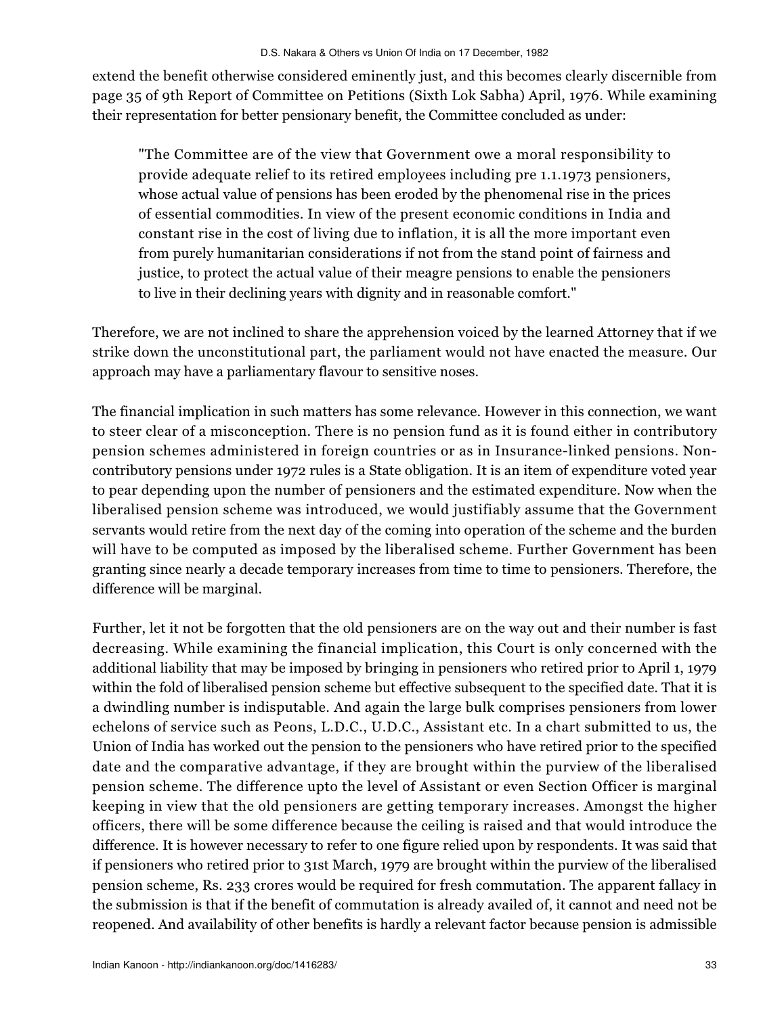extend the benefit otherwise considered eminently just, and this becomes clearly discernible from page 35 of 9th Report of Committee on Petitions (Sixth Lok Sabha) April, 1976. While examining their representation for better pensionary benefit, the Committee concluded as under:

"The Committee are of the view that Government owe a moral responsibility to provide adequate relief to its retired employees including pre 1.1.1973 pensioners, whose actual value of pensions has been eroded by the phenomenal rise in the prices of essential commodities. In view of the present economic conditions in India and constant rise in the cost of living due to inflation, it is all the more important even from purely humanitarian considerations if not from the stand point of fairness and justice, to protect the actual value of their meagre pensions to enable the pensioners to live in their declining years with dignity and in reasonable comfort."

Therefore, we are not inclined to share the apprehension voiced by the learned Attorney that if we strike down the unconstitutional part, the parliament would not have enacted the measure. Our approach may have a parliamentary flavour to sensitive noses.

The financial implication in such matters has some relevance. However in this connection, we want to steer clear of a misconception. There is no pension fund as it is found either in contributory pension schemes administered in foreign countries or as in Insurance-linked pensions. Noncontributory pensions under 1972 rules is a State obligation. It is an item of expenditure voted year to pear depending upon the number of pensioners and the estimated expenditure. Now when the liberalised pension scheme was introduced, we would justifiably assume that the Government servants would retire from the next day of the coming into operation of the scheme and the burden will have to be computed as imposed by the liberalised scheme. Further Government has been granting since nearly a decade temporary increases from time to time to pensioners. Therefore, the difference will be marginal.

Further, let it not be forgotten that the old pensioners are on the way out and their number is fast decreasing. While examining the financial implication, this Court is only concerned with the additional liability that may be imposed by bringing in pensioners who retired prior to April 1, 1979 within the fold of liberalised pension scheme but effective subsequent to the specified date. That it is a dwindling number is indisputable. And again the large bulk comprises pensioners from lower echelons of service such as Peons, L.D.C., U.D.C., Assistant etc. In a chart submitted to us, the Union of India has worked out the pension to the pensioners who have retired prior to the specified date and the comparative advantage, if they are brought within the purview of the liberalised pension scheme. The difference upto the level of Assistant or even Section Officer is marginal keeping in view that the old pensioners are getting temporary increases. Amongst the higher officers, there will be some difference because the ceiling is raised and that would introduce the difference. It is however necessary to refer to one figure relied upon by respondents. It was said that if pensioners who retired prior to 31st March, 1979 are brought within the purview of the liberalised pension scheme, Rs. 233 crores would be required for fresh commutation. The apparent fallacy in the submission is that if the benefit of commutation is already availed of, it cannot and need not be reopened. And availability of other benefits is hardly a relevant factor because pension is admissible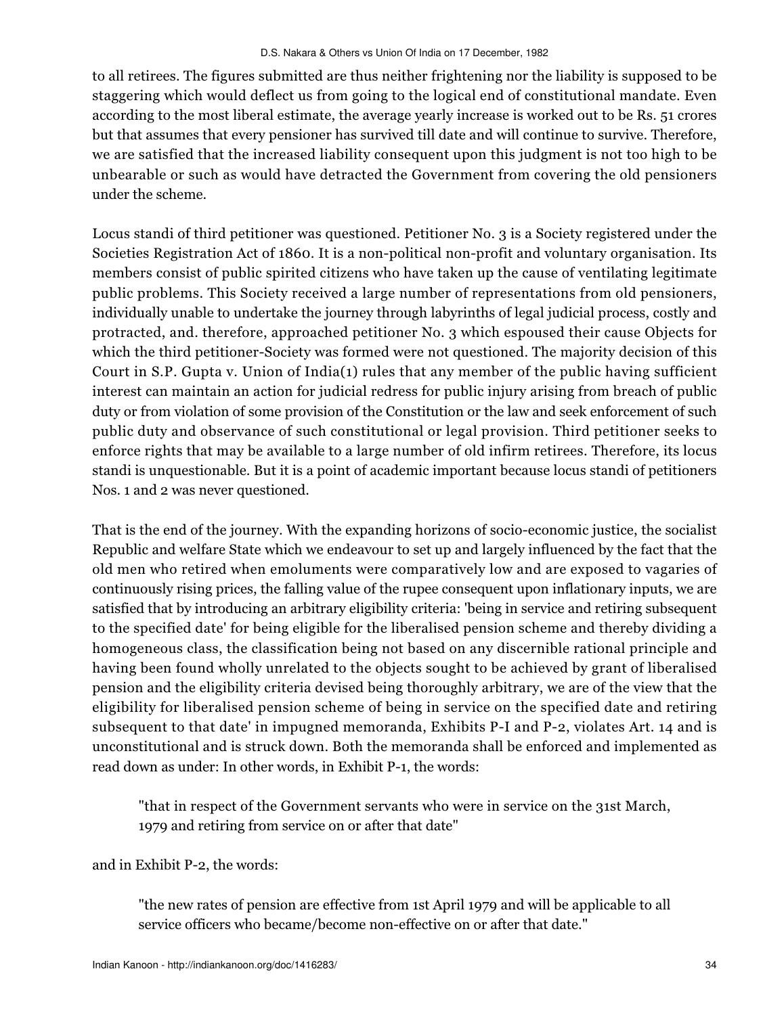to all retirees. The figures submitted are thus neither frightening nor the liability is supposed to be staggering which would deflect us from going to the logical end of constitutional mandate. Even according to the most liberal estimate, the average yearly increase is worked out to be Rs. 51 crores but that assumes that every pensioner has survived till date and will continue to survive. Therefore, we are satisfied that the increased liability consequent upon this judgment is not too high to be unbearable or such as would have detracted the Government from covering the old pensioners under the scheme.

Locus standi of third petitioner was questioned. Petitioner No. 3 is a Society registered under the Societies Registration Act of 1860. It is a non-political non-profit and voluntary organisation. Its members consist of public spirited citizens who have taken up the cause of ventilating legitimate public problems. This Society received a large number of representations from old pensioners, individually unable to undertake the journey through labyrinths of legal judicial process, costly and protracted, and. therefore, approached petitioner No. 3 which espoused their cause Objects for which the third petitioner-Society was formed were not questioned. The majority decision of this Court in S.P. Gupta v. Union of India(1) rules that any member of the public having sufficient interest can maintain an action for judicial redress for public injury arising from breach of public duty or from violation of some provision of the Constitution or the law and seek enforcement of such public duty and observance of such constitutional or legal provision. Third petitioner seeks to enforce rights that may be available to a large number of old infirm retirees. Therefore, its locus standi is unquestionable. But it is a point of academic important because locus standi of petitioners Nos. 1 and 2 was never questioned.

That is the end of the journey. With the expanding horizons of socio-economic justice, the socialist Republic and welfare State which we endeavour to set up and largely influenced by the fact that the old men who retired when emoluments were comparatively low and are exposed to vagaries of continuously rising prices, the falling value of the rupee consequent upon inflationary inputs, we are satisfied that by introducing an arbitrary eligibility criteria: 'being in service and retiring subsequent to the specified date' for being eligible for the liberalised pension scheme and thereby dividing a homogeneous class, the classification being not based on any discernible rational principle and having been found wholly unrelated to the objects sought to be achieved by grant of liberalised pension and the eligibility criteria devised being thoroughly arbitrary, we are of the view that the eligibility for liberalised pension scheme of being in service on the specified date and retiring subsequent to that date' in impugned memoranda, Exhibits P-I and P-2, violates Art. 14 and is unconstitutional and is struck down. Both the memoranda shall be enforced and implemented as read down as under: In other words, in Exhibit P-1, the words:

"that in respect of the Government servants who were in service on the 31st March, 1979 and retiring from service on or after that date"

and in Exhibit P-2, the words:

"the new rates of pension are effective from 1st April 1979 and will be applicable to all service officers who became/become non-effective on or after that date."